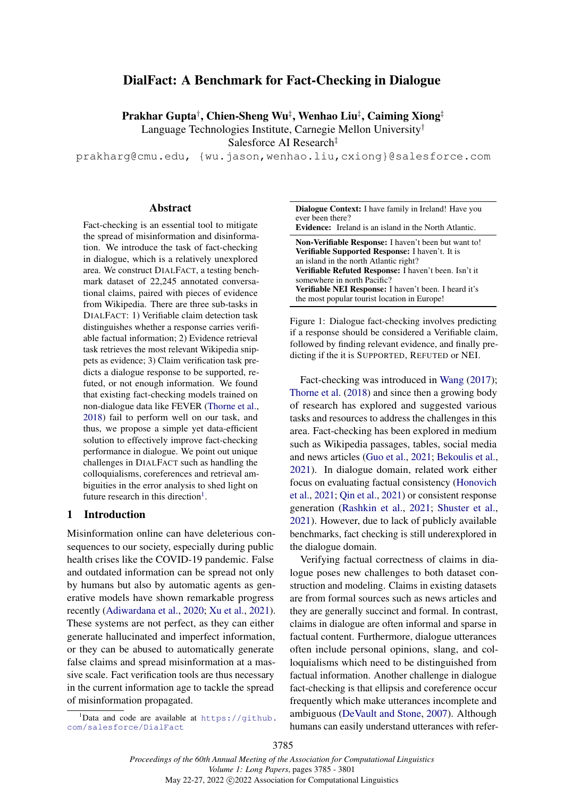# <span id="page-0-0"></span>DialFact: A Benchmark for Fact-Checking in Dialogue

Prakhar Gupta† , Chien-Sheng Wu‡ , Wenhao Liu‡ , Caiming Xiong‡

Language Technologies Institute, Carnegie Mellon University†

Salesforce AI Research‡

prakharg@cmu.edu, {wu.jason,wenhao.liu,cxiong}@salesforce.com

#### Abstract

Fact-checking is an essential tool to mitigate the spread of misinformation and disinformation. We introduce the task of fact-checking in dialogue, which is a relatively unexplored area. We construct DIALFACT, a testing benchmark dataset of 22,245 annotated conversational claims, paired with pieces of evidence from Wikipedia. There are three sub-tasks in DIALFACT: 1) Verifiable claim detection task distinguishes whether a response carries verifiable factual information; 2) Evidence retrieval task retrieves the most relevant Wikipedia snippets as evidence; 3) Claim verification task predicts a dialogue response to be supported, refuted, or not enough information. We found that existing fact-checking models trained on non-dialogue data like FEVER [\(Thorne et al.,](#page-11-0) [2018\)](#page-11-0) fail to perform well on our task, and thus, we propose a simple yet data-efficient solution to effectively improve fact-checking performance in dialogue. We point out unique challenges in DIALFACT such as handling the colloquialisms, coreferences and retrieval ambiguities in the error analysis to shed light on future research in this direction<sup>[1](#page-0-0)</sup>.

#### 1 Introduction

Misinformation online can have deleterious consequences to our society, especially during public health crises like the COVID-19 pandemic. False and outdated information can be spread not only by humans but also by automatic agents as generative models have shown remarkable progress recently [\(Adiwardana et al.,](#page-9-0) [2020;](#page-9-0) [Xu et al.,](#page-12-0) [2021\)](#page-12-0). These systems are not perfect, as they can either generate hallucinated and imperfect information, or they can be abused to automatically generate false claims and spread misinformation at a massive scale. Fact verification tools are thus necessary in the current information age to tackle the spread of misinformation propagated.

 $1$ Data and code are available at [https://github.](https://github.com/salesforce/DialFact) [com/salesforce/DialFact](https://github.com/salesforce/DialFact)

<span id="page-0-1"></span>

| <b>Dialogue Context:</b> I have family in Ireland! Have you<br>ever been there?<br><b>Evidence:</b> Ireland is an island in the North Atlantic.                                                                                                                                                                                                                  |
|------------------------------------------------------------------------------------------------------------------------------------------------------------------------------------------------------------------------------------------------------------------------------------------------------------------------------------------------------------------|
| Non-Verifiable Response: I haven't been but want to!<br><b>Verifiable Supported Response:</b> I haven't. It is<br>an island in the north Atlantic right?<br>Verifiable Refuted Response: I haven't been. Isn't it<br>somewhere in north Pacific?<br><b>Verifiable NEI Response:</b> I haven't been. I heard it's<br>the most popular tourist location in Europe! |

Figure 1: Dialogue fact-checking involves predicting if a response should be considered a Verifiable claim, followed by finding relevant evidence, and finally predicting if the it is SUPPORTED, REFUTED or NEI.

Fact-checking was introduced in [Wang](#page-11-1) [\(2017\)](#page-11-1); [Thorne et al.](#page-11-0) [\(2018\)](#page-11-0) and since then a growing body of research has explored and suggested various tasks and resources to address the challenges in this area. Fact-checking has been explored in medium such as Wikipedia passages, tables, social media and news articles [\(Guo et al.,](#page-9-1) [2021;](#page-9-1) [Bekoulis et al.,](#page-9-2) [2021\)](#page-9-2). In dialogue domain, related work either focus on evaluating factual consistency [\(Honovich](#page-10-0) [et al.,](#page-10-0) [2021;](#page-10-0) [Qin et al.,](#page-10-1) [2021\)](#page-10-1) or consistent response generation [\(Rashkin et al.,](#page-11-2) [2021;](#page-11-2) [Shuster et al.,](#page-11-3) [2021\)](#page-11-3). However, due to lack of publicly available benchmarks, fact checking is still underexplored in the dialogue domain.

Verifying factual correctness of claims in dialogue poses new challenges to both dataset construction and modeling. Claims in existing datasets are from formal sources such as news articles and they are generally succinct and formal. In contrast, claims in dialogue are often informal and sparse in factual content. Furthermore, dialogue utterances often include personal opinions, slang, and colloquialisms which need to be distinguished from factual information. Another challenge in dialogue fact-checking is that ellipsis and coreference occur frequently which make utterances incomplete and ambiguous [\(DeVault and Stone,](#page-9-3) [2007\)](#page-9-3). Although humans can easily understand utterances with refer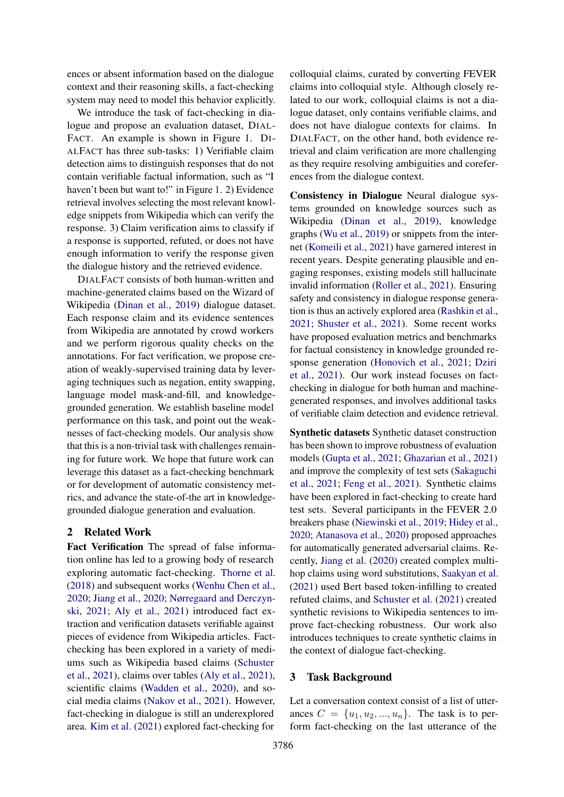ences or absent information based on the dialogue context and their reasoning skills, a fact-checking system may need to model this behavior explicitly.

We introduce the task of fact-checking in dialogue and propose an evaluation dataset, DIAL-FACT. An example is shown in Figure [1.](#page-0-1) DI-ALFACT has three sub-tasks: 1) Verifiable claim detection aims to distinguish responses that do not contain verifiable factual information, such as "I haven't been but want to!" in Figure [1.](#page-0-1) 2) Evidence retrieval involves selecting the most relevant knowledge snippets from Wikipedia which can verify the response. 3) Claim verification aims to classify if a response is supported, refuted, or does not have enough information to verify the response given the dialogue history and the retrieved evidence.

DIALFACT consists of both human-written and machine-generated claims based on the Wizard of Wikipedia [\(Dinan et al.,](#page-9-4) [2019\)](#page-9-4) dialogue dataset. Each response claim and its evidence sentences from Wikipedia are annotated by crowd workers and we perform rigorous quality checks on the annotations. For fact verification, we propose creation of weakly-supervised training data by leveraging techniques such as negation, entity swapping, language model mask-and-fill, and knowledgegrounded generation. We establish baseline model performance on this task, and point out the weaknesses of fact-checking models. Our analysis show that this is a non-trivial task with challenges remaining for future work. We hope that future work can leverage this dataset as a fact-checking benchmark or for development of automatic consistency metrics, and advance the state-of-the art in knowledgegrounded dialogue generation and evaluation.

# 2 Related Work

Fact Verification The spread of false information online has led to a growing body of research exploring automatic fact-checking. [Thorne et al.](#page-11-0) [\(2018\)](#page-11-0) and subsequent works [\(Wenhu Chen et al.,](#page-12-1) [2020;](#page-12-1) [Jiang et al.,](#page-10-2) [2020;](#page-10-2) [Nørregaard and Derczyn](#page-10-3)[ski,](#page-10-3) [2021;](#page-10-3) [Aly et al.,](#page-9-5) [2021\)](#page-9-5) introduced fact extraction and verification datasets verifiable against pieces of evidence from Wikipedia articles. Factchecking has been explored in a variety of mediums such as Wikipedia based claims [\(Schuster](#page-11-4) [et al.,](#page-11-4) [2021\)](#page-11-4), claims over tables [\(Aly et al.,](#page-9-5) [2021\)](#page-9-5), scientific claims [\(Wadden et al.,](#page-11-5) [2020\)](#page-11-5), and social media claims [\(Nakov et al.,](#page-10-4) [2021\)](#page-10-4). However, fact-checking in dialogue is still an underexplored area. [Kim et al.](#page-10-5) [\(2021\)](#page-10-5) explored fact-checking for

colloquial claims, curated by converting FEVER claims into colloquial style. Although closely related to our work, colloquial claims is not a dialogue dataset, only contains verifiable claims, and does not have dialogue contexts for claims. In DIALFACT, on the other hand, both evidence retrieval and claim verification are more challenging as they require resolving ambiguities and coreferences from the dialogue context.

Consistency in Dialogue Neural dialogue systems grounded on knowledge sources such as Wikipedia [\(Dinan et al.,](#page-9-4) [2019\)](#page-9-4), knowledge graphs [\(Wu et al.,](#page-12-2) [2019\)](#page-12-2) or snippets from the internet [\(Komeili et al.,](#page-10-6) [2021\)](#page-10-6) have garnered interest in recent years. Despite generating plausible and engaging responses, existing models still hallucinate invalid information [\(Roller et al.,](#page-11-6) [2021\)](#page-11-6). Ensuring safety and consistency in dialogue response generation is thus an actively explored area [\(Rashkin et al.,](#page-11-2) [2021;](#page-11-2) [Shuster et al.,](#page-11-3) [2021\)](#page-11-3). Some recent works have proposed evaluation metrics and benchmarks for factual consistency in knowledge grounded response generation [\(Honovich et al.,](#page-10-0) [2021;](#page-10-0) [Dziri](#page-9-6) [et al.,](#page-9-6) [2021\)](#page-9-6). Our work instead focuses on factchecking in dialogue for both human and machinegenerated responses, and involves additional tasks of verifiable claim detection and evidence retrieval.

Synthetic datasets Synthetic dataset construction has been shown to improve robustness of evaluation models [\(Gupta et al.,](#page-10-7) [2021;](#page-10-7) [Ghazarian et al.,](#page-9-7) [2021\)](#page-9-7) and improve the complexity of test sets [\(Sakaguchi](#page-11-7) [et al.,](#page-11-7) [2021;](#page-11-7) [Feng et al.,](#page-9-8) [2021\)](#page-9-8). Synthetic claims have been explored in fact-checking to create hard test sets. Several participants in the FEVER 2.0 breakers phase [\(Niewinski et al.,](#page-10-8) [2019;](#page-10-8) [Hidey et al.,](#page-10-9) [2020;](#page-10-9) [Atanasova et al.,](#page-9-9) [2020\)](#page-9-9) proposed approaches for automatically generated adversarial claims. Recently, [Jiang et al.](#page-10-2) [\(2020\)](#page-10-2) created complex multihop claims using word substitutions, [Saakyan et al.](#page-11-8) [\(2021\)](#page-11-8) used Bert based token-infilling to created refuted claims, and [Schuster et al.](#page-11-4) [\(2021\)](#page-11-4) created synthetic revisions to Wikipedia sentences to improve fact-checking robustness. Our work also introduces techniques to create synthetic claims in the context of dialogue fact-checking.

# 3 Task Background

Let a conversation context consist of a list of utterances  $C = \{u_1, u_2, ..., u_n\}$ . The task is to perform fact-checking on the last utterance of the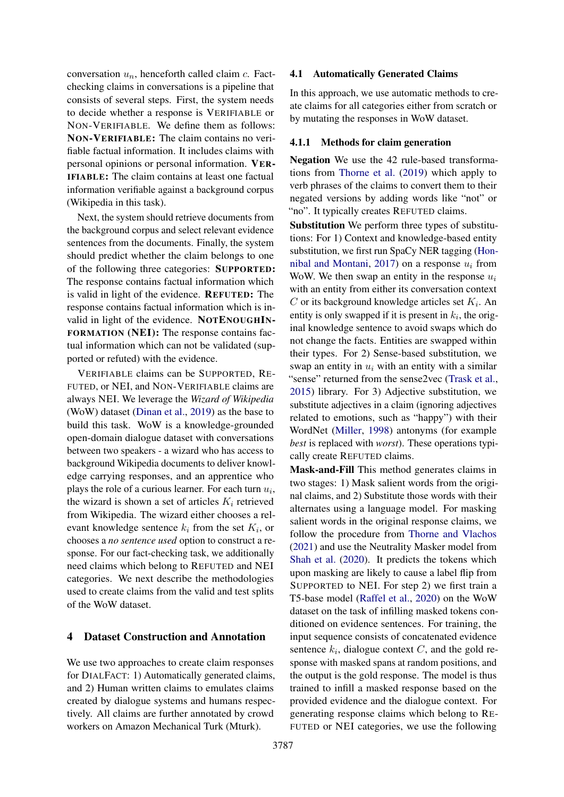conversation  $u_n$ , henceforth called claim c. Factchecking claims in conversations is a pipeline that consists of several steps. First, the system needs to decide whether a response is VERIFIABLE or NON-VERIFIABLE. We define them as follows: NON-VERIFIABLE: The claim contains no verifiable factual information. It includes claims with personal opinions or personal information. VER-IFIABLE: The claim contains at least one factual information verifiable against a background corpus (Wikipedia in this task).

Next, the system should retrieve documents from the background corpus and select relevant evidence sentences from the documents. Finally, the system should predict whether the claim belongs to one of the following three categories: SUPPORTED: The response contains factual information which is valid in light of the evidence. REFUTED: The response contains factual information which is invalid in light of the evidence. NOTENOUGHIN-FORMATION (NEI): The response contains factual information which can not be validated (supported or refuted) with the evidence.

VERIFIABLE claims can be SUPPORTED, RE-FUTED, or NEI, and NON-VERIFIABLE claims are always NEI. We leverage the *Wizard of Wikipedia* (WoW) dataset [\(Dinan et al.,](#page-9-4) [2019\)](#page-9-4) as the base to build this task. WoW is a knowledge-grounded open-domain dialogue dataset with conversations between two speakers - a wizard who has access to background Wikipedia documents to deliver knowledge carrying responses, and an apprentice who plays the role of a curious learner. For each turn  $u_i$ , the wizard is shown a set of articles  $K_i$  retrieved from Wikipedia. The wizard either chooses a relevant knowledge sentence  $k_i$  from the set  $K_i$ , or chooses a *no sentence used* option to construct a response. For our fact-checking task, we additionally need claims which belong to REFUTED and NEI categories. We next describe the methodologies used to create claims from the valid and test splits of the WoW dataset.

### 4 Dataset Construction and Annotation

We use two approaches to create claim responses for DIALFACT: 1) Automatically generated claims, and 2) Human written claims to emulates claims created by dialogue systems and humans respectively. All claims are further annotated by crowd workers on Amazon Mechanical Turk (Mturk).

#### 4.1 Automatically Generated Claims

In this approach, we use automatic methods to create claims for all categories either from scratch or by mutating the responses in WoW dataset.

#### <span id="page-2-0"></span>4.1.1 Methods for claim generation

Negation We use the 42 rule-based transformations from [Thorne et al.](#page-11-9) [\(2019\)](#page-11-9) which apply to verb phrases of the claims to convert them to their negated versions by adding words like "not" or "no". It typically creates REFUTED claims.

Substitution We perform three types of substitutions: For 1) Context and knowledge-based entity substitution, we first run SpaCy NER tagging [\(Hon](#page-10-10)[nibal and Montani,](#page-10-10) [2017\)](#page-10-10) on a response  $u_i$  from WoW. We then swap an entity in the response  $u_i$ with an entity from either its conversation context C or its background knowledge articles set  $K_i$ . An entity is only swapped if it is present in  $k_i$ , the original knowledge sentence to avoid swaps which do not change the facts. Entities are swapped within their types. For 2) Sense-based substitution, we swap an entity in  $u_i$  with an entity with a similar "sense" returned from the sense2vec [\(Trask et al.,](#page-11-10) [2015\)](#page-11-10) library. For 3) Adjective substitution, we substitute adjectives in a claim (ignoring adjectives related to emotions, such as "happy") with their WordNet [\(Miller,](#page-10-11) [1998\)](#page-10-11) antonyms (for example *best* is replaced with *worst*). These operations typically create REFUTED claims.

Mask-and-Fill This method generates claims in two stages: 1) Mask salient words from the original claims, and 2) Substitute those words with their alternates using a language model. For masking salient words in the original response claims, we follow the procedure from [Thorne and Vlachos](#page-11-11) [\(2021\)](#page-11-11) and use the Neutrality Masker model from [Shah et al.](#page-11-12) [\(2020\)](#page-11-12). It predicts the tokens which upon masking are likely to cause a label flip from SUPPORTED to NEI. For step 2) we first train a T5-base model [\(Raffel et al.,](#page-11-13) [2020\)](#page-11-13) on the WoW dataset on the task of infilling masked tokens conditioned on evidence sentences. For training, the input sequence consists of concatenated evidence sentence  $k_i$ , dialogue context  $C$ , and the gold response with masked spans at random positions, and the output is the gold response. The model is thus trained to infill a masked response based on the provided evidence and the dialogue context. For generating response claims which belong to RE-FUTED or NEI categories, we use the following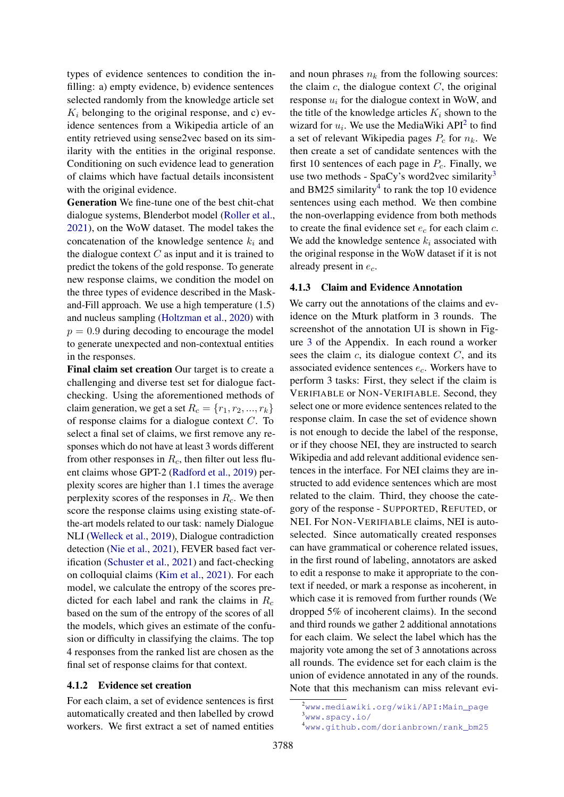types of evidence sentences to condition the infilling: a) empty evidence, b) evidence sentences selected randomly from the knowledge article set  $K_i$  belonging to the original response, and c) evidence sentences from a Wikipedia article of an entity retrieved using sense2vec based on its similarity with the entities in the original response. Conditioning on such evidence lead to generation of claims which have factual details inconsistent with the original evidence.

Generation We fine-tune one of the best chit-chat dialogue systems, Blenderbot model [\(Roller et al.,](#page-11-6) [2021\)](#page-11-6), on the WoW dataset. The model takes the concatenation of the knowledge sentence  $k_i$  and the dialogue context  $C$  as input and it is trained to predict the tokens of the gold response. To generate new response claims, we condition the model on the three types of evidence described in the Maskand-Fill approach. We use a high temperature (1.5) and nucleus sampling [\(Holtzman et al.,](#page-10-12) [2020\)](#page-10-12) with  $p = 0.9$  during decoding to encourage the model to generate unexpected and non-contextual entities in the responses.

Final claim set creation Our target is to create a challenging and diverse test set for dialogue factchecking. Using the aforementioned methods of claim generation, we get a set  $R_c = \{r_1, r_2, ..., r_k\}$ of response claims for a dialogue context C. To select a final set of claims, we first remove any responses which do not have at least 3 words different from other responses in  $R_c$ , then filter out less fluent claims whose GPT-2 [\(Radford et al.,](#page-11-14) [2019\)](#page-11-14) perplexity scores are higher than 1.1 times the average perplexity scores of the responses in  $R<sub>c</sub>$ . We then score the response claims using existing state-ofthe-art models related to our task: namely Dialogue NLI [\(Welleck et al.,](#page-12-3) [2019\)](#page-12-3), Dialogue contradiction detection [\(Nie et al.,](#page-10-13) [2021\)](#page-10-13), FEVER based fact verification [\(Schuster et al.,](#page-11-4) [2021\)](#page-11-4) and fact-checking on colloquial claims [\(Kim et al.,](#page-10-5) [2021\)](#page-10-5). For each model, we calculate the entropy of the scores predicted for each label and rank the claims in  $R_c$ based on the sum of the entropy of the scores of all the models, which gives an estimate of the confusion or difficulty in classifying the claims. The top 4 responses from the ranked list are chosen as the final set of response claims for that context.

#### <span id="page-3-0"></span>4.1.2 Evidence set creation

For each claim, a set of evidence sentences is first automatically created and then labelled by crowd workers. We first extract a set of named entities and noun phrases  $n_k$  from the following sources: the claim  $c$ , the dialogue context  $C$ , the original response  $u_i$  for the dialogue context in WoW, and the title of the knowledge articles  $K_i$  shown to the wizard for  $u_i$ . We use the MediaWiki API<sup>[2](#page-0-0)</sup> to find a set of relevant Wikipedia pages  $P_c$  for  $n_k$ . We then create a set of candidate sentences with the first 10 sentences of each page in  $P_c$ . Finally, we use two methods - SpaCy's word2vec similarity<sup>[3](#page-0-0)</sup> and BM25 similarity<sup>[4](#page-0-0)</sup> to rank the top 10 evidence sentences using each method. We then combine the non-overlapping evidence from both methods to create the final evidence set  $e_c$  for each claim c. We add the knowledge sentence  $k_i$  associated with the original response in the WoW dataset if it is not already present in  $e_c$ .

### <span id="page-3-1"></span>4.1.3 Claim and Evidence Annotation

We carry out the annotations of the claims and evidence on the Mturk platform in 3 rounds. The screenshot of the annotation UI is shown in Figure [3](#page-15-0) of the Appendix. In each round a worker sees the claim  $c$ , its dialogue context  $C$ , and its associated evidence sentences  $e_c$ . Workers have to perform 3 tasks: First, they select if the claim is VERIFIABLE or NON-VERIFIABLE. Second, they select one or more evidence sentences related to the response claim. In case the set of evidence shown is not enough to decide the label of the response, or if they choose NEI, they are instructed to search Wikipedia and add relevant additional evidence sentences in the interface. For NEI claims they are instructed to add evidence sentences which are most related to the claim. Third, they choose the category of the response - SUPPORTED, REFUTED, or NEI. For NON-VERIFIABLE claims, NEI is autoselected. Since automatically created responses can have grammatical or coherence related issues, in the first round of labeling, annotators are asked to edit a response to make it appropriate to the context if needed, or mark a response as incoherent, in which case it is removed from further rounds (We dropped 5% of incoherent claims). In the second and third rounds we gather 2 additional annotations for each claim. We select the label which has the majority vote among the set of 3 annotations across all rounds. The evidence set for each claim is the union of evidence annotated in any of the rounds. Note that this mechanism can miss relevant evi-

<sup>2</sup>[www.mediawiki.org/wiki/API:Main\\_page](www.mediawiki.org/wiki/API:Main_page)

<sup>3</sup><www.spacy.io/>

<sup>4</sup>[www.github.com/dorianbrown/rank\\_bm25](www.github.com/dorianbrown/rank_bm25)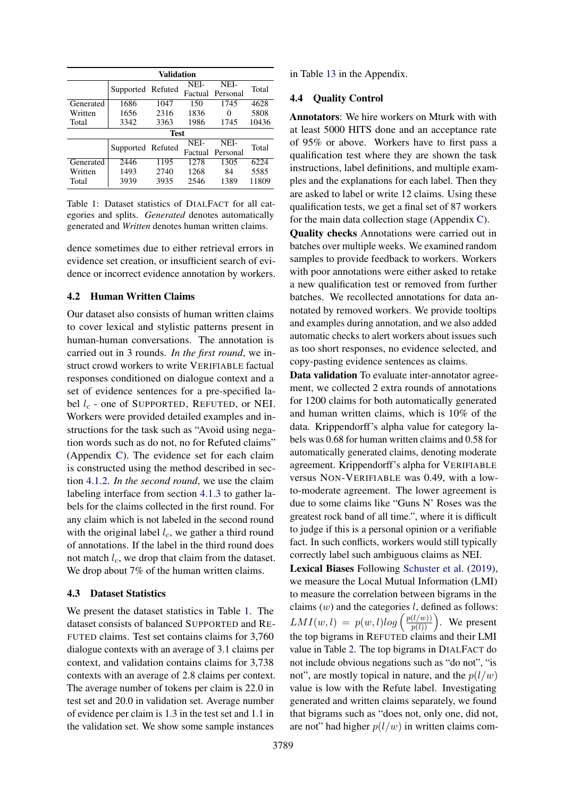<span id="page-4-0"></span>

| Validation |                   |             |                 |                  |       |  |  |  |
|------------|-------------------|-------------|-----------------|------------------|-------|--|--|--|
|            | Supported Refuted |             | NEI-<br>Factual | NEI-<br>Personal | Total |  |  |  |
| Generated  | 1686              | 1047        | 150             | 1745             | 4628  |  |  |  |
| Written    | 1656              | 2316        | 1836            | 0                | 5808  |  |  |  |
| Total      | 3342              | 3363        | 1986            | 1745             | 10436 |  |  |  |
|            |                   | <b>Test</b> |                 |                  |       |  |  |  |
|            |                   |             | NEI-            | NEI-             | Total |  |  |  |
|            | Supported Refuted |             |                 | Factual Personal |       |  |  |  |
| Generated  | 2446              | 1195        | 12.78           | 1305             | 6224  |  |  |  |
| Written    | 1493              | 2740        | 1268            | 84               | 5585  |  |  |  |
| Total      | 3939              | 3935        | 2546            | 1389             | 11809 |  |  |  |

Table 1: Dataset statistics of DIALFACT for all categories and splits. *Generated* denotes automatically generated and *Written* denotes human written claims.

dence sometimes due to either retrieval errors in evidence set creation, or insufficient search of evidence or incorrect evidence annotation by workers.

### 4.2 Human Written Claims

Our dataset also consists of human written claims to cover lexical and stylistic patterns present in human-human conversations. The annotation is carried out in 3 rounds. *In the first round*, we instruct crowd workers to write VERIFIABLE factual responses conditioned on dialogue context and a set of evidence sentences for a pre-specified label  $l_c$  - one of SUPPORTED, REFUTED, or NEI. Workers were provided detailed examples and instructions for the task such as "Avoid using negation words such as do not, no for Refuted claims" (Appendix [C\)](#page-13-0). The evidence set for each claim is constructed using the method described in section [4.1.2.](#page-3-0) *In the second round*, we use the claim labeling interface from section [4.1.3](#page-3-1) to gather labels for the claims collected in the first round. For any claim which is not labeled in the second round with the original label  $l_c$ , we gather a third round of annotations. If the label in the third round does not match  $l_c$ , we drop that claim from the dataset. We drop about 7% of the human written claims.

### 4.3 Dataset Statistics

We present the dataset statistics in Table [1.](#page-4-0) The dataset consists of balanced SUPPORTED and RE-FUTED claims. Test set contains claims for 3,760 dialogue contexts with an average of 3.1 claims per context, and validation contains claims for 3,738 contexts with an average of 2.8 claims per context. The average number of tokens per claim is 22.0 in test set and 20.0 in validation set. Average number of evidence per claim is 1.3 in the test set and 1.1 in the validation set. We show some sample instances

in Table [13](#page-14-0) in the Appendix.

### <span id="page-4-1"></span>4.4 Quality Control

Annotators: We hire workers on Mturk with with at least 5000 HITS done and an acceptance rate of 95% or above. Workers have to first pass a qualification test where they are shown the task instructions, label definitions, and multiple examples and the explanations for each label. Then they are asked to label or write 12 claims. Using these qualification tests, we get a final set of 87 workers for the main data collection stage (Appendix [C\)](#page-13-0).

Quality checks Annotations were carried out in batches over multiple weeks. We examined random samples to provide feedback to workers. Workers with poor annotations were either asked to retake a new qualification test or removed from further batches. We recollected annotations for data annotated by removed workers. We provide tooltips and examples during annotation, and we also added automatic checks to alert workers about issues such as too short responses, no evidence selected, and copy-pasting evidence sentences as claims.

Data validation To evaluate inter-annotator agreement, we collected 2 extra rounds of annotations for 1200 claims for both automatically generated and human written claims, which is 10% of the data. Krippendorff's alpha value for category labels was 0.68 for human written claims and 0.58 for automatically generated claims, denoting moderate agreement. Krippendorff's alpha for VERIFIABLE versus NON-VERIFIABLE was 0.49, with a lowto-moderate agreement. The lower agreement is due to some claims like "Guns N' Roses was the greatest rock band of all time.", where it is difficult to judge if this is a personal opinion or a verifiable fact. In such conflicts, workers would still typically correctly label such ambiguous claims as NEI.

Lexical Biases Following [Schuster et al.](#page-11-15) [\(2019\)](#page-11-15), we measure the Local Mutual Information (LMI) to measure the correlation between bigrams in the claims  $(w)$  and the categories  $l$ , defined as follows:  $LMI(w, l) = p(w, l)log\left(\frac{p(l/w)}{p(l)}\right)$ . We present the top bigrams in REFUTED claims and their LMI value in Table [2.](#page-5-0) The top bigrams in DIALFACT do not include obvious negations such as "do not", "is not", are mostly topical in nature, and the  $p(l/w)$ value is low with the Refute label. Investigating generated and written claims separately, we found that bigrams such as "does not, only one, did not, are not" had higher  $p(l/w)$  in written claims com-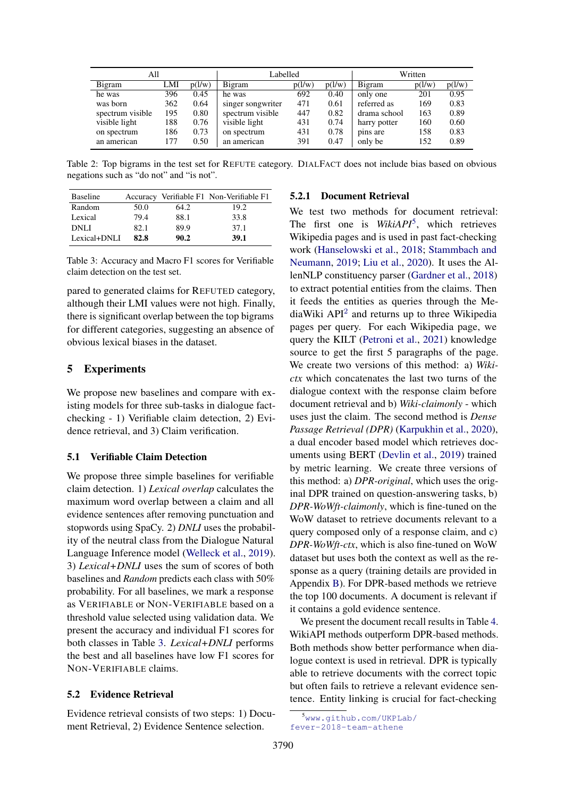<span id="page-5-0"></span>

| All              |     |        | Labelled          |        |        | Written      |        |        |
|------------------|-----|--------|-------------------|--------|--------|--------------|--------|--------|
| Bigram           | LMI | p(l/w) | Bigram            | p(l/w) | p(l/w) | Bigram       | p(l/w) | p(l/w) |
| he was           | 396 | 0.45   | he was            | 692    | 0.40   | only one     | 201    | 0.95   |
| was born         | 362 | 0.64   | singer songwriter | 471    | 0.61   | referred as  | 169    | 0.83   |
| spectrum visible | 195 | 0.80   | spectrum visible  | 447    | 0.82   | drama school | 163    | 0.89   |
| visible light    | 188 | 0.76   | visible light     | 431    | 0.74   | harry potter | 160    | 0.60   |
| on spectrum      | 186 | 0.73   | on spectrum       | 431    | 0.78   | pins are     | 158    | 0.83   |
| an american      | 177 | 0.50   | an american       | 391    | 0.47   | only be      | 152    | 0.89   |

Table 2: Top bigrams in the test set for REFUTE category. DIALFACT does not include bias based on obvious negations such as "do not" and "is not".

<span id="page-5-1"></span>

| <b>Baseline</b> |      |      | Accuracy Verifiable F1 Non-Verifiable F1 |
|-----------------|------|------|------------------------------------------|
| Random          | 50.0 | 64.2 | 19.2                                     |
| Lexical         | 79.4 | 88.1 | 33.8                                     |
| <b>DNLI</b>     | 82.1 | 89.9 | 37.1                                     |
| Lexical+DNLI    | 82.8 | 90.2 | 39.1                                     |

Table 3: Accuracy and Macro F1 scores for Verifiable claim detection on the test set.

pared to generated claims for REFUTED category, although their LMI values were not high. Finally, there is significant overlap between the top bigrams for different categories, suggesting an absence of obvious lexical biases in the dataset.

## 5 Experiments

We propose new baselines and compare with existing models for three sub-tasks in dialogue factchecking - 1) Verifiable claim detection, 2) Evidence retrieval, and 3) Claim verification.

### <span id="page-5-2"></span>5.1 Verifiable Claim Detection

We propose three simple baselines for verifiable claim detection. 1) *Lexical overlap* calculates the maximum word overlap between a claim and all evidence sentences after removing punctuation and stopwords using SpaCy. 2) *DNLI* uses the probability of the neutral class from the Dialogue Natural Language Inference model [\(Welleck et al.,](#page-12-3) [2019\)](#page-12-3). 3) *Lexical+DNLI* uses the sum of scores of both baselines and *Random* predicts each class with 50% probability. For all baselines, we mark a response as VERIFIABLE or NON-VERIFIABLE based on a threshold value selected using validation data. We present the accuracy and individual F1 scores for both classes in Table [3.](#page-5-1) *Lexical+DNLI* performs the best and all baselines have low F1 scores for NON-VERIFIABLE claims.

### 5.2 Evidence Retrieval

Evidence retrieval consists of two steps: 1) Document Retrieval, 2) Evidence Sentence selection.

#### 5.2.1 Document Retrieval

We test two methods for document retrieval: The first one is *WikiAPI*[5](#page-0-0) , which retrieves Wikipedia pages and is used in past fact-checking work [\(Hanselowski et al.,](#page-10-14) [2018;](#page-10-14) [Stammbach and](#page-11-16) [Neumann,](#page-11-16) [2019;](#page-11-16) [Liu et al.,](#page-10-15) [2020\)](#page-10-15). It uses the AllenNLP constituency parser [\(Gardner et al.,](#page-9-10) [2018\)](#page-9-10) to extract potential entities from the claims. Then it feeds the entities as queries through the Me-diaWiki API<sup>[2](#page-3-0)</sup> and returns up to three Wikipedia pages per query. For each Wikipedia page, we query the KILT [\(Petroni et al.,](#page-10-16) [2021\)](#page-10-16) knowledge source to get the first 5 paragraphs of the page. We create two versions of this method: a) *Wikictx* which concatenates the last two turns of the dialogue context with the response claim before document retrieval and b) *Wiki-claimonly* - which uses just the claim. The second method is *Dense Passage Retrieval (DPR)* [\(Karpukhin et al.,](#page-10-17) [2020\)](#page-10-17), a dual encoder based model which retrieves documents using BERT [\(Devlin et al.,](#page-9-11) [2019\)](#page-9-11) trained by metric learning. We create three versions of this method: a) *DPR-original*, which uses the original DPR trained on question-answering tasks, b) *DPR-WoWft-claimonly*, which is fine-tuned on the WoW dataset to retrieve documents relevant to a query composed only of a response claim, and c) *DPR-WoWft-ctx*, which is also fine-tuned on WoW dataset but uses both the context as well as the response as a query (training details are provided in Appendix [B\)](#page-12-4). For DPR-based methods we retrieve the top 100 documents. A document is relevant if it contains a gold evidence sentence.

We present the document recall results in Table [4.](#page-6-0) WikiAPI methods outperform DPR-based methods. Both methods show better performance when dialogue context is used in retrieval. DPR is typically able to retrieve documents with the correct topic but often fails to retrieve a relevant evidence sentence. Entity linking is crucial for fact-checking

<sup>5</sup>[www.github.com/UKPLab/](www.github.com/UKPLab/ fever-2018-team-athene) [fever-2018-team-athene](www.github.com/UKPLab/ fever-2018-team-athene)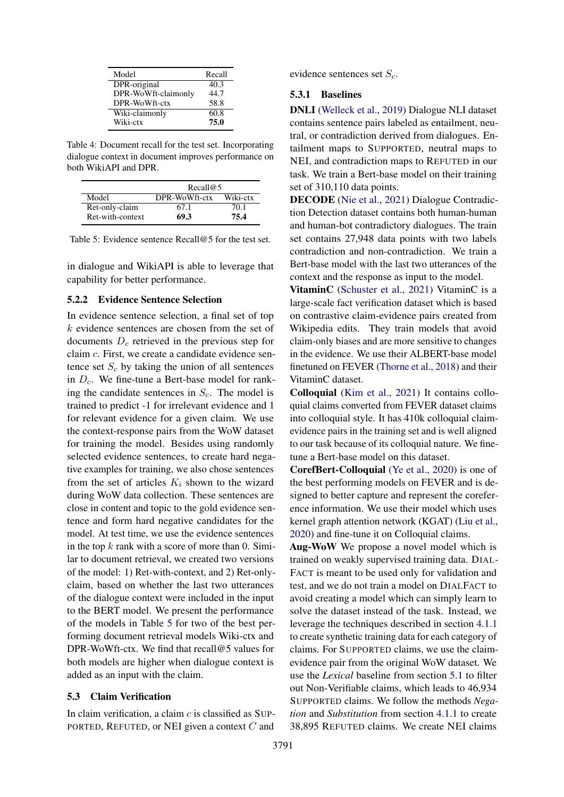<span id="page-6-0"></span>

| Model               | Recall |
|---------------------|--------|
| DPR-original        | 40.3   |
| DPR-WoWft-claimonly | 44.7   |
| DPR-WoWft-ctx       | 58.8   |
| Wiki-claimonly      | 60.8   |
| Wiki-ctx            | 75.0   |

Table 4: Document recall for the test set. Incorporating dialogue context in document improves performance on both WikiAPI and DPR.

<span id="page-6-1"></span>

|                  | Recall@5      |          |
|------------------|---------------|----------|
| Model            | DPR-WoWft-ctx | Wiki-ctx |
| Ret-only-claim   | 67.1          | 70.1     |
| Ret-with-context | 69.3          | 75.4     |

Table 5: Evidence sentence Recall@5 for the test set.

in dialogue and WikiAPI is able to leverage that capability for better performance.

#### 5.2.2 Evidence Sentence Selection

In evidence sentence selection, a final set of top k evidence sentences are chosen from the set of documents  $D_c$  retrieved in the previous step for claim c. First, we create a candidate evidence sentence set  $S_c$  by taking the union of all sentences in  $D_c$ . We fine-tune a Bert-base model for ranking the candidate sentences in  $S_c$ . The model is trained to predict -1 for irrelevant evidence and 1 for relevant evidence for a given claim. We use the context-response pairs from the WoW dataset for training the model. Besides using randomly selected evidence sentences, to create hard negative examples for training, we also chose sentences from the set of articles  $K_i$  shown to the wizard during WoW data collection. These sentences are close in content and topic to the gold evidence sentence and form hard negative candidates for the model. At test time, we use the evidence sentences in the top  $k$  rank with a score of more than 0. Similar to document retrieval, we created two versions of the model: 1) Ret-with-context, and 2) Ret-onlyclaim, based on whether the last two utterances of the dialogue context were included in the input to the BERT model. We present the performance of the models in Table [5](#page-6-1) for two of the best performing document retrieval models Wiki-ctx and DPR-WoWft-ctx. We find that recall@5 values for both models are higher when dialogue context is added as an input with the claim.

#### <span id="page-6-2"></span>5.3 Claim Verification

In claim verification, a claim  $c$  is classified as SUP-PORTED, REFUTED, or NEI given a context C and

evidence sentences set  $S_c$ .

### 5.3.1 Baselines

DNLI [\(Welleck et al.,](#page-12-3) [2019\)](#page-12-3) Dialogue NLI dataset contains sentence pairs labeled as entailment, neutral, or contradiction derived from dialogues. Entailment maps to SUPPORTED, neutral maps to NEI, and contradiction maps to REFUTED in our task. We train a Bert-base model on their training set of 310,110 data points.

DECODE [\(Nie et al.,](#page-10-13) [2021\)](#page-10-13) Dialogue Contradiction Detection dataset contains both human-human and human-bot contradictory dialogues. The train set contains 27,948 data points with two labels contradiction and non-contradiction. We train a Bert-base model with the last two utterances of the context and the response as input to the model.

VitaminC [\(Schuster et al.,](#page-11-4) [2021\)](#page-11-4) VitaminC is a large-scale fact verification dataset which is based on contrastive claim-evidence pairs created from Wikipedia edits. They train models that avoid claim-only biases and are more sensitive to changes in the evidence. We use their ALBERT-base model finetuned on FEVER [\(Thorne et al.,](#page-11-0) [2018\)](#page-11-0) and their VitaminC dataset.

Colloquial [\(Kim et al.,](#page-10-5) [2021\)](#page-10-5) It contains colloquial claims converted from FEVER dataset claims into colloquial style. It has 410k colloquial claimevidence pairs in the training set and is well aligned to our task because of its colloquial nature. We finetune a Bert-base model on this dataset.

CorefBert-Colloquial [\(Ye et al.,](#page-12-5) [2020\)](#page-12-5) is one of the best performing models on FEVER and is designed to better capture and represent the coreference information. We use their model which uses kernel graph attention network (KGAT) [\(Liu et al.,](#page-10-15) [2020\)](#page-10-15) and fine-tune it on Colloquial claims.

Aug-WoW We propose a novel model which is trained on weakly supervised training data. DIAL-FACT is meant to be used only for validation and test, and we do not train a model on DIALFACT to avoid creating a model which can simply learn to solve the dataset instead of the task. Instead, we leverage the techniques described in section [4.1.1](#page-2-0) to create synthetic training data for each category of claims. For SUPPORTED claims, we use the claimevidence pair from the original WoW dataset. We use the *Lexical* baseline from section [5.1](#page-5-2) to filter out Non-Verifiable claims, which leads to 46,934 SUPPORTED claims. We follow the methods *Negation* and *Substitution* from section [4.1.1](#page-2-0) to create 38,895 REFUTED claims. We create NEI claims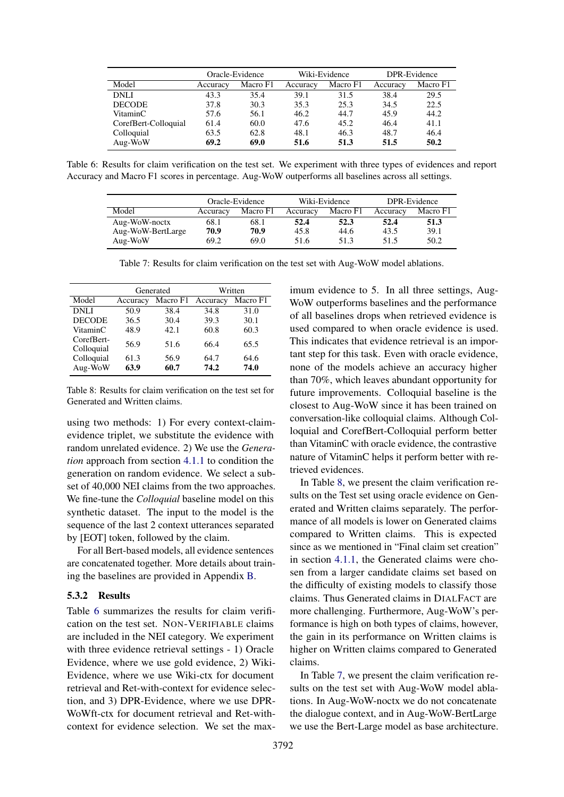<span id="page-7-0"></span>

|                      | Oracle-Evidence |          | Wiki-Evidence |          | DPR-Evidence |          |
|----------------------|-----------------|----------|---------------|----------|--------------|----------|
| Model                | Accuracy        | Macro F1 | Accuracy      | Macro F1 | Accuracy     | Macro F1 |
| <b>DNLI</b>          | 43.3            | 35.4     | 39.1          | 31.5     | 38.4         | 29.5     |
| <b>DECODE</b>        | 37.8            | 30.3     | 35.3          | 25.3     | 34.5         | 22.5     |
| VitaminC             | 57.6            | 56.1     | 46.2          | 44.7     | 45.9         | 44.2     |
| CorefBert-Colloquial | 61.4            | 60.0     | 47.6          | 45.2     | 46.4         | 41.1     |
| Colloquial           | 63.5            | 62.8     | 48.1          | 46.3     | 48.7         | 46.4     |
| Aug-WoW              | 69.2            | 69.0     | 51.6          | 51.3     | 51.5         | 50.2     |

<span id="page-7-2"></span>Table 6: Results for claim verification on the test set. We experiment with three types of evidences and report Accuracy and Macro F1 scores in percentage. Aug-WoW outperforms all baselines across all settings.

|                   | Oracle-Evidence |          | Wiki-Evidence |          | DPR-Evidence |          |
|-------------------|-----------------|----------|---------------|----------|--------------|----------|
| Model             | Accuracy        | Macro F1 | Accuracy      | Macro F1 | Accuracy     | Macro F1 |
| Aug-WoW-noctx     | 68.1            | 68.1     | 52.4          | 52.3     | 52.4         | 51.3     |
| Aug-WoW-BertLarge | 70.9            | 70.9     | 45.8          | 44.6     | 43.5         | 39.1     |
| Aug-WoW           | 69.2            | 69.0     | 51.6          | 51.3     | 51.5         | 50.2     |

Table 7: Results for claim verification on the test set with Aug-WoW model ablations.

<span id="page-7-1"></span>

|                          |              | Generated    | Written      |              |  |
|--------------------------|--------------|--------------|--------------|--------------|--|
| Model                    | Accuracy     | Macro F1     | Accuracy     | Macro F1     |  |
| <b>DNLI</b>              | 50.9         | 38.4         | 34.8         | 31.0         |  |
| <b>DECODE</b>            | 36.5         | 30.4         | 39.3         | 30.1         |  |
| VitaminC                 | 48.9         | 42.1         | 60.8         | 60.3         |  |
| CorefBert-<br>Colloquial | 56.9         | 51.6         | 66.4         | 65.5         |  |
| Colloquial<br>Aug-WoW    | 61.3<br>63.9 | 56.9<br>60.7 | 64.7<br>74.2 | 64.6<br>74.0 |  |

Table 8: Results for claim verification on the test set for Generated and Written claims.

using two methods: 1) For every context-claimevidence triplet, we substitute the evidence with random unrelated evidence. 2) We use the *Generation* approach from section [4.1.1](#page-2-0) to condition the generation on random evidence. We select a subset of 40,000 NEI claims from the two approaches. We fine-tune the *Colloquial* baseline model on this synthetic dataset. The input to the model is the sequence of the last 2 context utterances separated by [EOT] token, followed by the claim.

For all Bert-based models, all evidence sentences are concatenated together. More details about training the baselines are provided in Appendix [B.](#page-12-4)

### <span id="page-7-3"></span>5.3.2 Results

Table [6](#page-7-0) summarizes the results for claim verification on the test set. NON-VERIFIABLE claims are included in the NEI category. We experiment with three evidence retrieval settings - 1) Oracle Evidence, where we use gold evidence, 2) Wiki-Evidence, where we use Wiki-ctx for document retrieval and Ret-with-context for evidence selection, and 3) DPR-Evidence, where we use DPR-WoWft-ctx for document retrieval and Ret-withcontext for evidence selection. We set the maximum evidence to 5. In all three settings, Aug-WoW outperforms baselines and the performance of all baselines drops when retrieved evidence is used compared to when oracle evidence is used. This indicates that evidence retrieval is an important step for this task. Even with oracle evidence, none of the models achieve an accuracy higher than 70%, which leaves abundant opportunity for future improvements. Colloquial baseline is the closest to Aug-WoW since it has been trained on conversation-like colloquial claims. Although Colloquial and CorefBert-Colloquial perform better than VitaminC with oracle evidence, the contrastive nature of VitaminC helps it perform better with retrieved evidences.

In Table [8,](#page-7-1) we present the claim verification results on the Test set using oracle evidence on Generated and Written claims separately. The performance of all models is lower on Generated claims compared to Written claims. This is expected since as we mentioned in "Final claim set creation" in section [4.1.1,](#page-2-0) the Generated claims were chosen from a larger candidate claims set based on the difficulty of existing models to classify those claims. Thus Generated claims in DIALFACT are more challenging. Furthermore, Aug-WoW's performance is high on both types of claims, however, the gain in its performance on Written claims is higher on Written claims compared to Generated claims.

In Table [7,](#page-7-2) we present the claim verification results on the test set with Aug-WoW model ablations. In Aug-WoW-noctx we do not concatenate the dialogue context, and in Aug-WoW-BertLarge we use the Bert-Large model as base architecture.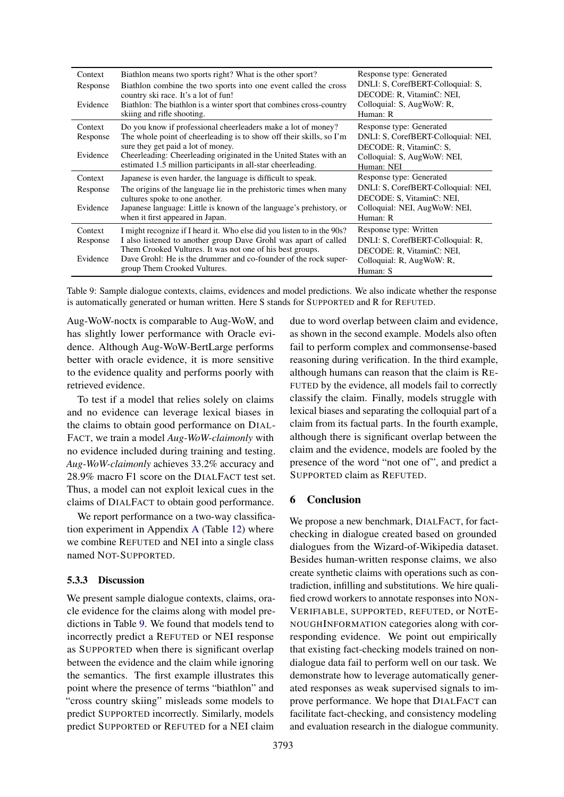<span id="page-8-0"></span>

| Context  | Biathlon means two sports right? What is the other sport?                                               | Response type: Generated                                       |
|----------|---------------------------------------------------------------------------------------------------------|----------------------------------------------------------------|
| Response | Biathlon combine the two sports into one event called the cross<br>country ski race. It's a lot of fun! | DNLI: S, CorefBERT-Colloquial: S,<br>DECODE: R. VitaminC: NEI. |
| Evidence | Biathlon: The biathlon is a winter sport that combines cross-country                                    | Colloquial: S, AugWoW: R,                                      |
|          | skiing and rifle shooting.                                                                              | Human: R                                                       |
| Context  | Do you know if professional cheerleaders make a lot of money?                                           | Response type: Generated                                       |
| Response | The whole point of cheerleading is to show off their skills, so I'm                                     | DNLI: S, CorefBERT-Colloquial: NEI,                            |
|          | sure they get paid a lot of money.                                                                      | DECODE: R. VitaminC: S.                                        |
| Evidence | Cheerleading: Cheerleading originated in the United States with an                                      | Colloquial: S, AugWoW: NEI,                                    |
|          | estimated 1.5 million participants in all-star cheerleading.                                            | Human: NEI                                                     |
| Context  | Japanese is even harder, the language is difficult to speak.                                            | Response type: Generated                                       |
| Response | The origins of the language lie in the prehistoric times when many                                      | DNLI: S, CorefBERT-Colloquial: NEI,                            |
|          | cultures spoke to one another.                                                                          | DECODE: S. VitaminC: NEI.                                      |
| Evidence | Japanese language: Little is known of the language's prehistory, or                                     | Colloquial: NEI, AugWoW: NEI,                                  |
|          | when it first appeared in Japan.                                                                        | Human: R                                                       |
| Context  | I might recognize if I heard it. Who else did you listen to in the 90s?                                 | Response type: Written                                         |
| Response | I also listened to another group Dave Grohl was apart of called                                         | DNLI: S, CorefBERT-Colloquial: R,                              |
|          | Them Crooked Vultures. It was not one of his best groups.                                               | DECODE: R. VitaminC: NEI.                                      |
| Evidence | Dave Grohl: He is the drummer and co-founder of the rock super-                                         | Colloquial: R, AugWoW: R,                                      |
|          | group Them Crooked Vultures.                                                                            | Human: S                                                       |

Table 9: Sample dialogue contexts, claims, evidences and model predictions. We also indicate whether the response is automatically generated or human written. Here S stands for SUPPORTED and R for REFUTED.

Aug-WoW-noctx is comparable to Aug-WoW, and has slightly lower performance with Oracle evidence. Although Aug-WoW-BertLarge performs better with oracle evidence, it is more sensitive to the evidence quality and performs poorly with retrieved evidence.

To test if a model that relies solely on claims and no evidence can leverage lexical biases in the claims to obtain good performance on DIAL-FACT, we train a model *Aug-WoW-claimonly* with no evidence included during training and testing. *Aug-WoW-claimonly* achieves 33.2% accuracy and 28.9% macro F1 score on the DIALFACT test set. Thus, a model can not exploit lexical cues in the claims of DIALFACT to obtain good performance.

We report performance on a two-way classification experiment in Appendix [A](#page-12-6) (Table [12\)](#page-14-1) where we combine REFUTED and NEI into a single class named NOT-SUPPORTED.

### 5.3.3 Discussion

We present sample dialogue contexts, claims, oracle evidence for the claims along with model predictions in Table [9.](#page-8-0) We found that models tend to incorrectly predict a REFUTED or NEI response as SUPPORTED when there is significant overlap between the evidence and the claim while ignoring the semantics. The first example illustrates this point where the presence of terms "biathlon" and "cross country skiing" misleads some models to predict SUPPORTED incorrectly. Similarly, models predict SUPPORTED or REFUTED for a NEI claim

due to word overlap between claim and evidence, as shown in the second example. Models also often fail to perform complex and commonsense-based reasoning during verification. In the third example, although humans can reason that the claim is RE-FUTED by the evidence, all models fail to correctly classify the claim. Finally, models struggle with lexical biases and separating the colloquial part of a claim from its factual parts. In the fourth example, although there is significant overlap between the claim and the evidence, models are fooled by the presence of the word "not one of", and predict a SUPPORTED claim as REFUTED.

## 6 Conclusion

We propose a new benchmark, DIALFACT, for factchecking in dialogue created based on grounded dialogues from the Wizard-of-Wikipedia dataset. Besides human-written response claims, we also create synthetic claims with operations such as contradiction, infilling and substitutions. We hire qualified crowd workers to annotate responses into NON-VERIFIABLE, SUPPORTED, REFUTED, or NOTE-NOUGHINFORMATION categories along with corresponding evidence. We point out empirically that existing fact-checking models trained on nondialogue data fail to perform well on our task. We demonstrate how to leverage automatically generated responses as weak supervised signals to improve performance. We hope that DIALFACT can facilitate fact-checking, and consistency modeling and evaluation research in the dialogue community.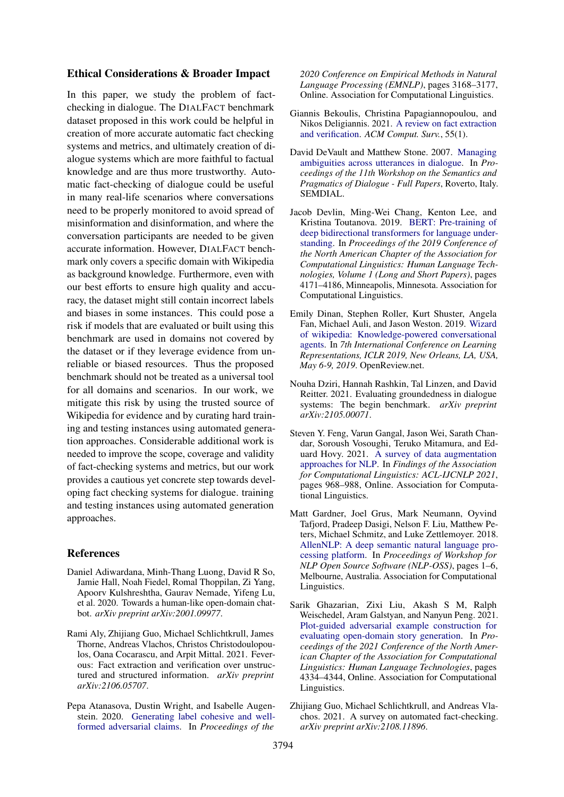### Ethical Considerations & Broader Impact

In this paper, we study the problem of factchecking in dialogue. The DIALFACT benchmark dataset proposed in this work could be helpful in creation of more accurate automatic fact checking systems and metrics, and ultimately creation of dialogue systems which are more faithful to factual knowledge and are thus more trustworthy. Automatic fact-checking of dialogue could be useful in many real-life scenarios where conversations need to be properly monitored to avoid spread of misinformation and disinformation, and where the conversation participants are needed to be given accurate information. However, DIALFACT benchmark only covers a specific domain with Wikipedia as background knowledge. Furthermore, even with our best efforts to ensure high quality and accuracy, the dataset might still contain incorrect labels and biases in some instances. This could pose a risk if models that are evaluated or built using this benchmark are used in domains not covered by the dataset or if they leverage evidence from unreliable or biased resources. Thus the proposed benchmark should not be treated as a universal tool for all domains and scenarios. In our work, we mitigate this risk by using the trusted source of Wikipedia for evidence and by curating hard training and testing instances using automated generation approaches. Considerable additional work is needed to improve the scope, coverage and validity of fact-checking systems and metrics, but our work provides a cautious yet concrete step towards developing fact checking systems for dialogue. training and testing instances using automated generation approaches.

# References

- <span id="page-9-0"></span>Daniel Adiwardana, Minh-Thang Luong, David R So, Jamie Hall, Noah Fiedel, Romal Thoppilan, Zi Yang, Apoorv Kulshreshtha, Gaurav Nemade, Yifeng Lu, et al. 2020. Towards a human-like open-domain chatbot. *arXiv preprint arXiv:2001.09977*.
- <span id="page-9-5"></span>Rami Aly, Zhijiang Guo, Michael Schlichtkrull, James Thorne, Andreas Vlachos, Christos Christodoulopoulos, Oana Cocarascu, and Arpit Mittal. 2021. Feverous: Fact extraction and verification over unstructured and structured information. *arXiv preprint arXiv:2106.05707*.
- <span id="page-9-9"></span>Pepa Atanasova, Dustin Wright, and Isabelle Augenstein. 2020. [Generating label cohesive and well](https://doi.org/10.18653/v1/2020.emnlp-main.256)[formed adversarial claims.](https://doi.org/10.18653/v1/2020.emnlp-main.256) In *Proceedings of the*

*2020 Conference on Empirical Methods in Natural Language Processing (EMNLP)*, pages 3168–3177, Online. Association for Computational Linguistics.

- <span id="page-9-2"></span>Giannis Bekoulis, Christina Papagiannopoulou, and Nikos Deligiannis. 2021. [A review on fact extraction](https://doi.org/10.1145/3485127) [and verification.](https://doi.org/10.1145/3485127) *ACM Comput. Surv.*, 55(1).
- <span id="page-9-3"></span>David DeVault and Matthew Stone. 2007. [Managing](http://semdial.org/anthology/Z07-DeVault_semdial_0011.pdf) [ambiguities across utterances in dialogue.](http://semdial.org/anthology/Z07-DeVault_semdial_0011.pdf) In *Proceedings of the 11th Workshop on the Semantics and Pragmatics of Dialogue - Full Papers*, Roverto, Italy. SEMDIAL.
- <span id="page-9-11"></span>Jacob Devlin, Ming-Wei Chang, Kenton Lee, and Kristina Toutanova. 2019. [BERT: Pre-training of](https://doi.org/10.18653/v1/N19-1423) [deep bidirectional transformers for language under](https://doi.org/10.18653/v1/N19-1423)[standing.](https://doi.org/10.18653/v1/N19-1423) In *Proceedings of the 2019 Conference of the North American Chapter of the Association for Computational Linguistics: Human Language Technologies, Volume 1 (Long and Short Papers)*, pages 4171–4186, Minneapolis, Minnesota. Association for Computational Linguistics.
- <span id="page-9-4"></span>Emily Dinan, Stephen Roller, Kurt Shuster, Angela Fan, Michael Auli, and Jason Weston. 2019. [Wizard](https://openreview.net/forum?id=r1l73iRqKm) [of wikipedia: Knowledge-powered conversational](https://openreview.net/forum?id=r1l73iRqKm) [agents.](https://openreview.net/forum?id=r1l73iRqKm) In *7th International Conference on Learning Representations, ICLR 2019, New Orleans, LA, USA, May 6-9, 2019*. OpenReview.net.
- <span id="page-9-6"></span>Nouha Dziri, Hannah Rashkin, Tal Linzen, and David Reitter. 2021. Evaluating groundedness in dialogue systems: The begin benchmark. *arXiv preprint arXiv:2105.00071*.
- <span id="page-9-8"></span>Steven Y. Feng, Varun Gangal, Jason Wei, Sarath Chandar, Soroush Vosoughi, Teruko Mitamura, and Eduard Hovy. 2021. [A survey of data augmentation](https://doi.org/10.18653/v1/2021.findings-acl.84) [approaches for NLP.](https://doi.org/10.18653/v1/2021.findings-acl.84) In *Findings of the Association for Computational Linguistics: ACL-IJCNLP 2021*, pages 968–988, Online. Association for Computational Linguistics.
- <span id="page-9-10"></span>Matt Gardner, Joel Grus, Mark Neumann, Oyvind Tafjord, Pradeep Dasigi, Nelson F. Liu, Matthew Peters, Michael Schmitz, and Luke Zettlemoyer. 2018. [AllenNLP: A deep semantic natural language pro](https://doi.org/10.18653/v1/W18-2501)[cessing platform.](https://doi.org/10.18653/v1/W18-2501) In *Proceedings of Workshop for NLP Open Source Software (NLP-OSS)*, pages 1–6, Melbourne, Australia. Association for Computational Linguistics.
- <span id="page-9-7"></span>Sarik Ghazarian, Zixi Liu, Akash S M, Ralph Weischedel, Aram Galstyan, and Nanyun Peng. 2021. [Plot-guided adversarial example construction for](https://doi.org/10.18653/v1/2021.naacl-main.343) [evaluating open-domain story generation.](https://doi.org/10.18653/v1/2021.naacl-main.343) In *Proceedings of the 2021 Conference of the North American Chapter of the Association for Computational Linguistics: Human Language Technologies*, pages 4334–4344, Online. Association for Computational Linguistics.
- <span id="page-9-1"></span>Zhijiang Guo, Michael Schlichtkrull, and Andreas Vlachos. 2021. A survey on automated fact-checking. *arXiv preprint arXiv:2108.11896*.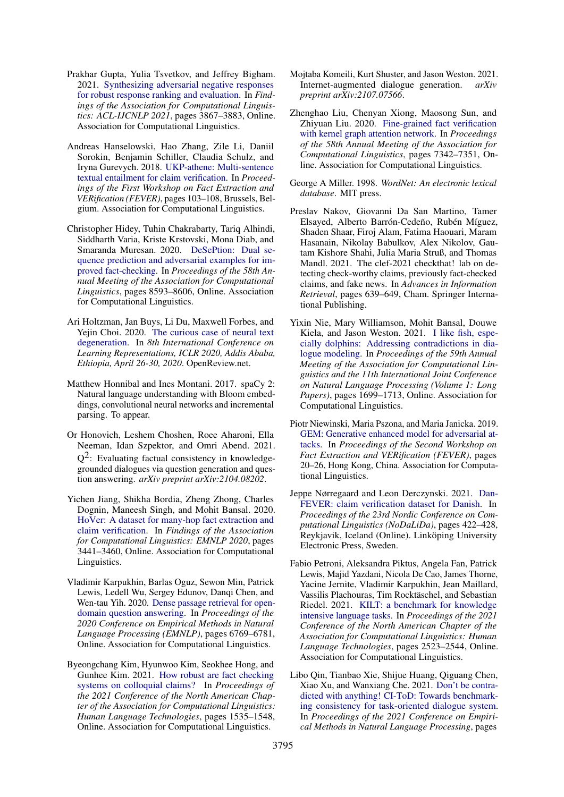- <span id="page-10-7"></span>Prakhar Gupta, Yulia Tsvetkov, and Jeffrey Bigham. 2021. [Synthesizing adversarial negative responses](https://doi.org/10.18653/v1/2021.findings-acl.338) [for robust response ranking and evaluation.](https://doi.org/10.18653/v1/2021.findings-acl.338) In *Findings of the Association for Computational Linguistics: ACL-IJCNLP 2021*, pages 3867–3883, Online. Association for Computational Linguistics.
- <span id="page-10-14"></span>Andreas Hanselowski, Hao Zhang, Zile Li, Daniil Sorokin, Benjamin Schiller, Claudia Schulz, and Iryna Gurevych. 2018. [UKP-athene: Multi-sentence](https://doi.org/10.18653/v1/W18-5516) [textual entailment for claim verification.](https://doi.org/10.18653/v1/W18-5516) In *Proceedings of the First Workshop on Fact Extraction and VERification (FEVER)*, pages 103–108, Brussels, Belgium. Association for Computational Linguistics.
- <span id="page-10-9"></span>Christopher Hidey, Tuhin Chakrabarty, Tariq Alhindi, Siddharth Varia, Kriste Krstovski, Mona Diab, and Smaranda Muresan. 2020. [DeSePtion: Dual se](https://doi.org/10.18653/v1/2020.acl-main.761)[quence prediction and adversarial examples for im](https://doi.org/10.18653/v1/2020.acl-main.761)[proved fact-checking.](https://doi.org/10.18653/v1/2020.acl-main.761) In *Proceedings of the 58th Annual Meeting of the Association for Computational Linguistics*, pages 8593–8606, Online. Association for Computational Linguistics.
- <span id="page-10-12"></span>Ari Holtzman, Jan Buys, Li Du, Maxwell Forbes, and Yejin Choi. 2020. [The curious case of neural text](https://openreview.net/forum?id=rygGQyrFvH) [degeneration.](https://openreview.net/forum?id=rygGQyrFvH) In *8th International Conference on Learning Representations, ICLR 2020, Addis Ababa, Ethiopia, April 26-30, 2020*. OpenReview.net.
- <span id="page-10-10"></span>Matthew Honnibal and Ines Montani. 2017. spaCy 2: Natural language understanding with Bloom embeddings, convolutional neural networks and incremental parsing. To appear.
- <span id="page-10-0"></span>Or Honovich, Leshem Choshen, Roee Aharoni, Ella Neeman, Idan Szpektor, and Omri Abend. 2021.  $Q^2$ : Evaluating factual consistency in knowledgegrounded dialogues via question generation and question answering. *arXiv preprint arXiv:2104.08202*.
- <span id="page-10-2"></span>Yichen Jiang, Shikha Bordia, Zheng Zhong, Charles Dognin, Maneesh Singh, and Mohit Bansal. 2020. [HoVer: A dataset for many-hop fact extraction and](https://doi.org/10.18653/v1/2020.findings-emnlp.309) [claim verification.](https://doi.org/10.18653/v1/2020.findings-emnlp.309) In *Findings of the Association for Computational Linguistics: EMNLP 2020*, pages 3441–3460, Online. Association for Computational Linguistics.
- <span id="page-10-17"></span>Vladimir Karpukhin, Barlas Oguz, Sewon Min, Patrick Lewis, Ledell Wu, Sergey Edunov, Danqi Chen, and Wen-tau Yih. 2020. [Dense passage retrieval for open](https://doi.org/10.18653/v1/2020.emnlp-main.550)[domain question answering.](https://doi.org/10.18653/v1/2020.emnlp-main.550) In *Proceedings of the 2020 Conference on Empirical Methods in Natural Language Processing (EMNLP)*, pages 6769–6781, Online. Association for Computational Linguistics.
- <span id="page-10-5"></span>Byeongchang Kim, Hyunwoo Kim, Seokhee Hong, and Gunhee Kim. 2021. [How robust are fact checking](https://doi.org/10.18653/v1/2021.naacl-main.121) [systems on colloquial claims?](https://doi.org/10.18653/v1/2021.naacl-main.121) In *Proceedings of the 2021 Conference of the North American Chapter of the Association for Computational Linguistics: Human Language Technologies*, pages 1535–1548, Online. Association for Computational Linguistics.
- <span id="page-10-6"></span>Mojtaba Komeili, Kurt Shuster, and Jason Weston. 2021. Internet-augmented dialogue generation. *arXiv preprint arXiv:2107.07566*.
- <span id="page-10-15"></span>Zhenghao Liu, Chenyan Xiong, Maosong Sun, and Zhiyuan Liu. 2020. [Fine-grained fact verification](https://doi.org/10.18653/v1/2020.acl-main.655) [with kernel graph attention network.](https://doi.org/10.18653/v1/2020.acl-main.655) In *Proceedings of the 58th Annual Meeting of the Association for Computational Linguistics*, pages 7342–7351, Online. Association for Computational Linguistics.
- <span id="page-10-11"></span>George A Miller. 1998. *WordNet: An electronic lexical database*. MIT press.
- <span id="page-10-4"></span>Preslav Nakov, Giovanni Da San Martino, Tamer Elsayed, Alberto Barrón-Cedeño, Rubén Míguez, Shaden Shaar, Firoj Alam, Fatima Haouari, Maram Hasanain, Nikolay Babulkov, Alex Nikolov, Gautam Kishore Shahi, Julia Maria Struß, and Thomas Mandl. 2021. The clef-2021 checkthat! lab on detecting check-worthy claims, previously fact-checked claims, and fake news. In *Advances in Information Retrieval*, pages 639–649, Cham. Springer International Publishing.
- <span id="page-10-13"></span>Yixin Nie, Mary Williamson, Mohit Bansal, Douwe Kiela, and Jason Weston. 2021. [I like fish, espe](https://doi.org/10.18653/v1/2021.acl-long.134)[cially dolphins: Addressing contradictions in dia](https://doi.org/10.18653/v1/2021.acl-long.134)[logue modeling.](https://doi.org/10.18653/v1/2021.acl-long.134) In *Proceedings of the 59th Annual Meeting of the Association for Computational Linguistics and the 11th International Joint Conference on Natural Language Processing (Volume 1: Long Papers)*, pages 1699–1713, Online. Association for Computational Linguistics.
- <span id="page-10-8"></span>Piotr Niewinski, Maria Pszona, and Maria Janicka. 2019. [GEM: Generative enhanced model for adversarial at](https://doi.org/10.18653/v1/D19-6604)[tacks.](https://doi.org/10.18653/v1/D19-6604) In *Proceedings of the Second Workshop on Fact Extraction and VERification (FEVER)*, pages 20–26, Hong Kong, China. Association for Computational Linguistics.
- <span id="page-10-3"></span>Jeppe Nørregaard and Leon Derczynski. 2021. [Dan-](https://aclanthology.org/2021.nodalida-main.47)[FEVER: claim verification dataset for Danish.](https://aclanthology.org/2021.nodalida-main.47) In *Proceedings of the 23rd Nordic Conference on Computational Linguistics (NoDaLiDa)*, pages 422–428, Reykjavik, Iceland (Online). Linköping University Electronic Press, Sweden.
- <span id="page-10-16"></span>Fabio Petroni, Aleksandra Piktus, Angela Fan, Patrick Lewis, Majid Yazdani, Nicola De Cao, James Thorne, Yacine Jernite, Vladimir Karpukhin, Jean Maillard, Vassilis Plachouras, Tim Rocktäschel, and Sebastian Riedel. 2021. [KILT: a benchmark for knowledge](https://doi.org/10.18653/v1/2021.naacl-main.200) [intensive language tasks.](https://doi.org/10.18653/v1/2021.naacl-main.200) In *Proceedings of the 2021 Conference of the North American Chapter of the Association for Computational Linguistics: Human Language Technologies*, pages 2523–2544, Online. Association for Computational Linguistics.
- <span id="page-10-1"></span>Libo Qin, Tianbao Xie, Shijue Huang, Qiguang Chen, Xiao Xu, and Wanxiang Che. 2021. [Don't be contra](https://doi.org/10.18653/v1/2021.emnlp-main.182)[dicted with anything! CI-ToD: Towards benchmark](https://doi.org/10.18653/v1/2021.emnlp-main.182)[ing consistency for task-oriented dialogue system.](https://doi.org/10.18653/v1/2021.emnlp-main.182) In *Proceedings of the 2021 Conference on Empirical Methods in Natural Language Processing*, pages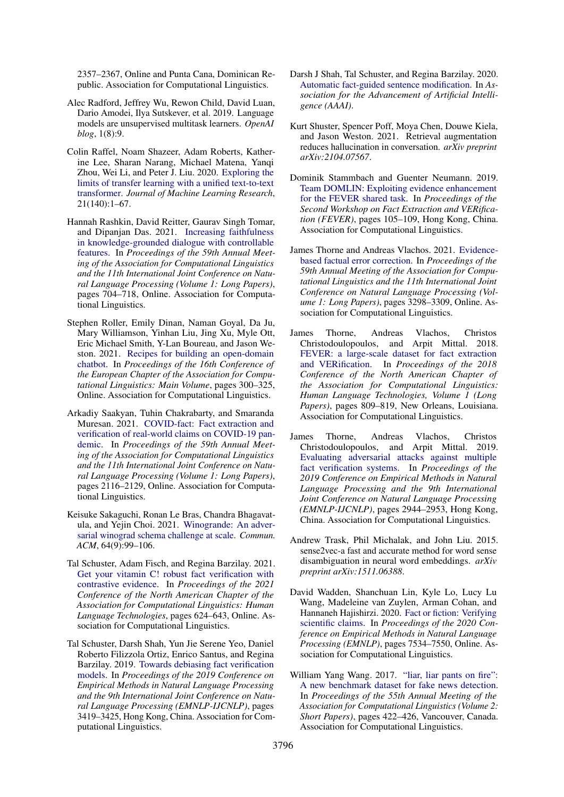2357–2367, Online and Punta Cana, Dominican Republic. Association for Computational Linguistics.

- <span id="page-11-14"></span>Alec Radford, Jeffrey Wu, Rewon Child, David Luan, Dario Amodei, Ilya Sutskever, et al. 2019. Language models are unsupervised multitask learners. *OpenAI blog*, 1(8):9.
- <span id="page-11-13"></span>Colin Raffel, Noam Shazeer, Adam Roberts, Katherine Lee, Sharan Narang, Michael Matena, Yanqi Zhou, Wei Li, and Peter J. Liu. 2020. [Exploring the](http://jmlr.org/papers/v21/20-074.html) [limits of transfer learning with a unified text-to-text](http://jmlr.org/papers/v21/20-074.html) [transformer.](http://jmlr.org/papers/v21/20-074.html) *Journal of Machine Learning Research*, 21(140):1–67.
- <span id="page-11-2"></span>Hannah Rashkin, David Reitter, Gaurav Singh Tomar, and Dipanjan Das. 2021. [Increasing faithfulness](https://doi.org/10.18653/v1/2021.acl-long.58) [in knowledge-grounded dialogue with controllable](https://doi.org/10.18653/v1/2021.acl-long.58) [features.](https://doi.org/10.18653/v1/2021.acl-long.58) In *Proceedings of the 59th Annual Meeting of the Association for Computational Linguistics and the 11th International Joint Conference on Natural Language Processing (Volume 1: Long Papers)*, pages 704–718, Online. Association for Computational Linguistics.
- <span id="page-11-6"></span>Stephen Roller, Emily Dinan, Naman Goyal, Da Ju, Mary Williamson, Yinhan Liu, Jing Xu, Myle Ott, Eric Michael Smith, Y-Lan Boureau, and Jason Weston. 2021. [Recipes for building an open-domain](https://aclanthology.org/2021.eacl-main.24) [chatbot.](https://aclanthology.org/2021.eacl-main.24) In *Proceedings of the 16th Conference of the European Chapter of the Association for Computational Linguistics: Main Volume*, pages 300–325, Online. Association for Computational Linguistics.
- <span id="page-11-8"></span>Arkadiy Saakyan, Tuhin Chakrabarty, and Smaranda Muresan. 2021. [COVID-fact: Fact extraction and](https://doi.org/10.18653/v1/2021.acl-long.165) [verification of real-world claims on COVID-19 pan](https://doi.org/10.18653/v1/2021.acl-long.165)[demic.](https://doi.org/10.18653/v1/2021.acl-long.165) In *Proceedings of the 59th Annual Meeting of the Association for Computational Linguistics and the 11th International Joint Conference on Natural Language Processing (Volume 1: Long Papers)*, pages 2116–2129, Online. Association for Computational Linguistics.
- <span id="page-11-7"></span>Keisuke Sakaguchi, Ronan Le Bras, Chandra Bhagavatula, and Yejin Choi. 2021. [Winogrande: An adver](https://doi.org/10.1145/3474381)[sarial winograd schema challenge at scale.](https://doi.org/10.1145/3474381) *Commun. ACM*, 64(9):99–106.
- <span id="page-11-4"></span>Tal Schuster, Adam Fisch, and Regina Barzilay. 2021. [Get your vitamin C! robust fact verification with](https://doi.org/10.18653/v1/2021.naacl-main.52) [contrastive evidence.](https://doi.org/10.18653/v1/2021.naacl-main.52) In *Proceedings of the 2021 Conference of the North American Chapter of the Association for Computational Linguistics: Human Language Technologies*, pages 624–643, Online. Association for Computational Linguistics.
- <span id="page-11-15"></span>Tal Schuster, Darsh Shah, Yun Jie Serene Yeo, Daniel Roberto Filizzola Ortiz, Enrico Santus, and Regina Barzilay. 2019. [Towards debiasing fact verification](https://doi.org/10.18653/v1/D19-1341) [models.](https://doi.org/10.18653/v1/D19-1341) In *Proceedings of the 2019 Conference on Empirical Methods in Natural Language Processing and the 9th International Joint Conference on Natural Language Processing (EMNLP-IJCNLP)*, pages 3419–3425, Hong Kong, China. Association for Computational Linguistics.
- <span id="page-11-12"></span>Darsh J Shah, Tal Schuster, and Regina Barzilay. 2020. [Automatic fact-guided sentence modification.](https://arxiv.org/pdf/1909.13838.pdf) In *Association for the Advancement of Artificial Intelligence (AAAI)*.
- <span id="page-11-3"></span>Kurt Shuster, Spencer Poff, Moya Chen, Douwe Kiela, and Jason Weston. 2021. Retrieval augmentation reduces hallucination in conversation. *arXiv preprint arXiv:2104.07567*.
- <span id="page-11-16"></span>Dominik Stammbach and Guenter Neumann. 2019. [Team DOMLIN: Exploiting evidence enhancement](https://doi.org/10.18653/v1/D19-6616) [for the FEVER shared task.](https://doi.org/10.18653/v1/D19-6616) In *Proceedings of the Second Workshop on Fact Extraction and VERification (FEVER)*, pages 105–109, Hong Kong, China. Association for Computational Linguistics.
- <span id="page-11-11"></span>James Thorne and Andreas Vlachos. 2021. [Evidence](https://doi.org/10.18653/v1/2021.acl-long.256)[based factual error correction.](https://doi.org/10.18653/v1/2021.acl-long.256) In *Proceedings of the 59th Annual Meeting of the Association for Computational Linguistics and the 11th International Joint Conference on Natural Language Processing (Volume 1: Long Papers)*, pages 3298–3309, Online. Association for Computational Linguistics.
- <span id="page-11-0"></span>James Thorne, Andreas Vlachos, Christos Christodoulopoulos, and Arpit Mittal. 2018. [FEVER: a large-scale dataset for fact extraction](https://doi.org/10.18653/v1/N18-1074) [and VERification.](https://doi.org/10.18653/v1/N18-1074) In *Proceedings of the 2018 Conference of the North American Chapter of the Association for Computational Linguistics: Human Language Technologies, Volume 1 (Long Papers)*, pages 809–819, New Orleans, Louisiana. Association for Computational Linguistics.
- <span id="page-11-9"></span>James Thorne, Andreas Vlachos, Christos Christodoulopoulos, and Arpit Mittal. 2019. [Evaluating adversarial attacks against multiple](https://doi.org/10.18653/v1/D19-1292) [fact verification systems.](https://doi.org/10.18653/v1/D19-1292) In *Proceedings of the 2019 Conference on Empirical Methods in Natural Language Processing and the 9th International Joint Conference on Natural Language Processing (EMNLP-IJCNLP)*, pages 2944–2953, Hong Kong, China. Association for Computational Linguistics.
- <span id="page-11-10"></span>Andrew Trask, Phil Michalak, and John Liu. 2015. sense2vec-a fast and accurate method for word sense disambiguation in neural word embeddings. *arXiv preprint arXiv:1511.06388*.
- <span id="page-11-5"></span>David Wadden, Shanchuan Lin, Kyle Lo, Lucy Lu Wang, Madeleine van Zuylen, Arman Cohan, and Hannaneh Hajishirzi. 2020. [Fact or fiction: Verifying](https://doi.org/10.18653/v1/2020.emnlp-main.609) [scientific claims.](https://doi.org/10.18653/v1/2020.emnlp-main.609) In *Proceedings of the 2020 Conference on Empirical Methods in Natural Language Processing (EMNLP)*, pages 7534–7550, Online. Association for Computational Linguistics.
- <span id="page-11-1"></span>William Yang Wang. 2017. ["liar, liar pants on fire":](https://doi.org/10.18653/v1/P17-2067) [A new benchmark dataset for fake news detection.](https://doi.org/10.18653/v1/P17-2067) In *Proceedings of the 55th Annual Meeting of the Association for Computational Linguistics (Volume 2: Short Papers)*, pages 422–426, Vancouver, Canada. Association for Computational Linguistics.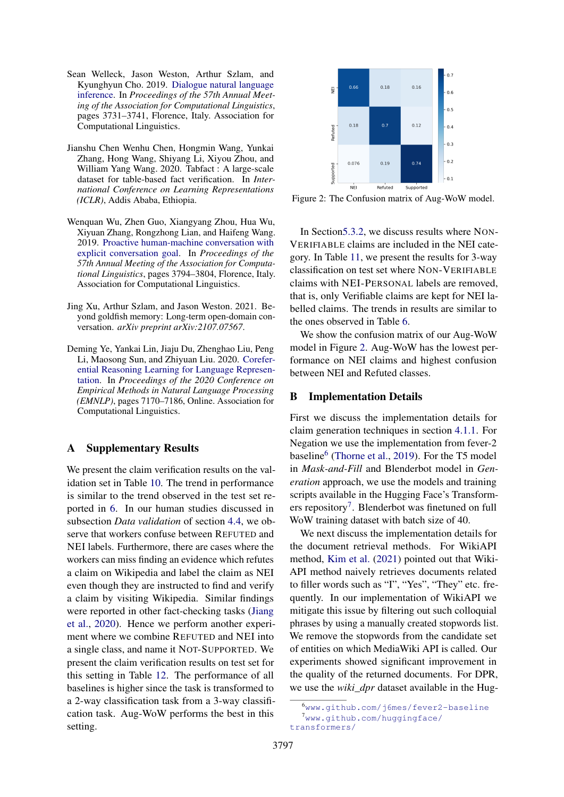- <span id="page-12-3"></span>Sean Welleck, Jason Weston, Arthur Szlam, and Kyunghyun Cho. 2019. [Dialogue natural language](https://doi.org/10.18653/v1/P19-1363) [inference.](https://doi.org/10.18653/v1/P19-1363) In *Proceedings of the 57th Annual Meeting of the Association for Computational Linguistics*, pages 3731–3741, Florence, Italy. Association for Computational Linguistics.
- <span id="page-12-1"></span>Jianshu Chen Wenhu Chen, Hongmin Wang, Yunkai Zhang, Hong Wang, Shiyang Li, Xiyou Zhou, and William Yang Wang. 2020. Tabfact : A large-scale dataset for table-based fact verification. In *International Conference on Learning Representations (ICLR)*, Addis Ababa, Ethiopia.
- <span id="page-12-2"></span>Wenquan Wu, Zhen Guo, Xiangyang Zhou, Hua Wu, Xiyuan Zhang, Rongzhong Lian, and Haifeng Wang. 2019. [Proactive human-machine conversation with](https://doi.org/10.18653/v1/P19-1369) [explicit conversation goal.](https://doi.org/10.18653/v1/P19-1369) In *Proceedings of the 57th Annual Meeting of the Association for Computational Linguistics*, pages 3794–3804, Florence, Italy. Association for Computational Linguistics.
- <span id="page-12-0"></span>Jing Xu, Arthur Szlam, and Jason Weston. 2021. Beyond goldfish memory: Long-term open-domain conversation. *arXiv preprint arXiv:2107.07567*.
- <span id="page-12-5"></span>Deming Ye, Yankai Lin, Jiaju Du, Zhenghao Liu, Peng Li, Maosong Sun, and Zhiyuan Liu. 2020. [Corefer](https://doi.org/10.18653/v1/2020.emnlp-main.582)[ential Reasoning Learning for Language Represen](https://doi.org/10.18653/v1/2020.emnlp-main.582)[tation.](https://doi.org/10.18653/v1/2020.emnlp-main.582) In *Proceedings of the 2020 Conference on Empirical Methods in Natural Language Processing (EMNLP)*, pages 7170–7186, Online. Association for Computational Linguistics.

### <span id="page-12-6"></span>A Supplementary Results

We present the claim verification results on the validation set in Table [10.](#page-13-1) The trend in performance is similar to the trend observed in the test set reported in [6.](#page-7-0) In our human studies discussed in subsection *Data validation* of section [4.4,](#page-4-1) we observe that workers confuse between REFUTED and NEI labels. Furthermore, there are cases where the workers can miss finding an evidence which refutes a claim on Wikipedia and label the claim as NEI even though they are instructed to find and verify a claim by visiting Wikipedia. Similar findings were reported in other fact-checking tasks [\(Jiang](#page-10-2) [et al.,](#page-10-2) [2020\)](#page-10-2). Hence we perform another experiment where we combine REFUTED and NEI into a single class, and name it NOT-SUPPORTED. We present the claim verification results on test set for this setting in Table [12.](#page-14-1) The performance of all baselines is higher since the task is transformed to a 2-way classification task from a 3-way classification task. Aug-WoW performs the best in this setting.

<span id="page-12-7"></span>

Figure 2: The Confusion matrix of Aug-WoW model.

In Sectio[n5.3.2,](#page-7-3) we discuss results where NON-VERIFIABLE claims are included in the NEI category. In Table [11,](#page-13-2) we present the results for 3-way classification on test set where NON-VERIFIABLE claims with NEI-PERSONAL labels are removed, that is, only Verifiable claims are kept for NEI labelled claims. The trends in results are similar to the ones observed in Table [6.](#page-7-0)

We show the confusion matrix of our Aug-WoW model in Figure [2.](#page-12-7) Aug-WoW has the lowest performance on NEI claims and highest confusion between NEI and Refuted classes.

### <span id="page-12-4"></span>B Implementation Details

First we discuss the implementation details for claim generation techniques in section [4.1.1.](#page-2-0) For Negation we use the implementation from fever-2 baseline<sup>[6](#page-0-0)</sup> [\(Thorne et al.,](#page-11-9) [2019\)](#page-11-9). For the T5 model in *Mask-and-Fill* and Blenderbot model in *Generation* approach, we use the models and training scripts available in the Hugging Face's Transform-ers repository<sup>[7](#page-0-0)</sup>. Blenderbot was finetuned on full WoW training dataset with batch size of 40.

We next discuss the implementation details for the document retrieval methods. For WikiAPI method, [Kim et al.](#page-10-5) [\(2021\)](#page-10-5) pointed out that Wiki-API method naively retrieves documents related to filler words such as "I", "Yes", "They" etc. frequently. In our implementation of WikiAPI we mitigate this issue by filtering out such colloquial phrases by using a manually created stopwords list. We remove the stopwords from the candidate set of entities on which MediaWiki API is called. Our experiments showed significant improvement in the quality of the returned documents. For DPR, we use the *wiki* dpr dataset available in the Hug-

<sup>6</sup><www.github.com/j6mes/fever2-baseline> <sup>7</sup>[www.github.com/huggingface/](www.github.com/huggingface/transformers/) [transformers/](www.github.com/huggingface/transformers/)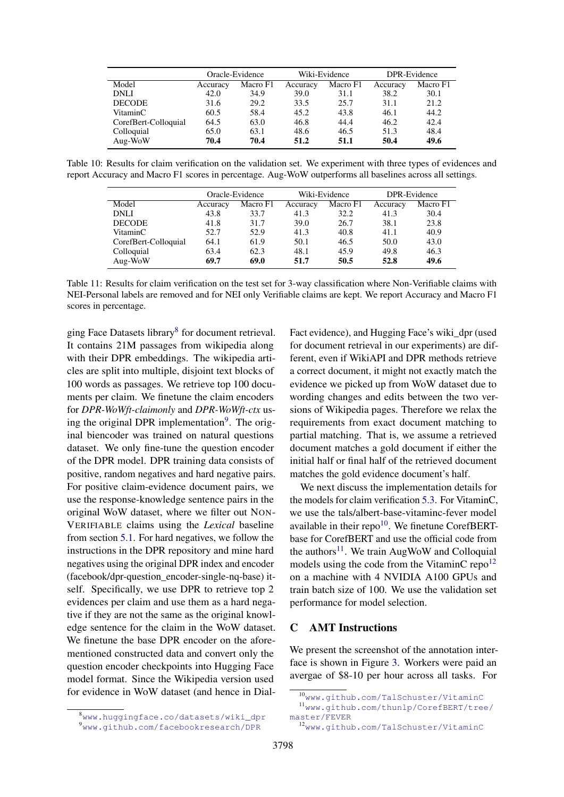<span id="page-13-1"></span>

|                      | Oracle-Evidence |          |          | Wiki-Evidence |          | DPR-Evidence |  |
|----------------------|-----------------|----------|----------|---------------|----------|--------------|--|
| Model                | Accuracy        | Macro F1 | Accuracy | Macro F1      | Accuracy | Macro F1     |  |
| <b>DNLI</b>          | 42.0            | 34.9     | 39.0     | 31.1          | 38.2     | 30.1         |  |
| <b>DECODE</b>        | 31.6            | 29.2     | 33.5     | 25.7          | 31.1     | 21.2         |  |
| VitaminC             | 60.5            | 58.4     | 45.2     | 43.8          | 46.1     | 44.2         |  |
| CorefBert-Colloquial | 64.5            | 63.0     | 46.8     | 44.4          | 46.2     | 42.4         |  |
| Colloquial           | 65.0            | 63.1     | 48.6     | 46.5          | 51.3     | 48.4         |  |
| Aug-WoW              | 70.4            | 70.4     | 51.2     | 51.1          | 50.4     | 49.6         |  |

<span id="page-13-2"></span>Table 10: Results for claim verification on the validation set. We experiment with three types of evidences and report Accuracy and Macro F1 scores in percentage. Aug-WoW outperforms all baselines across all settings.

|                      | Oracle-Evidence |          | Wiki-Evidence |          | DPR-Evidence |          |
|----------------------|-----------------|----------|---------------|----------|--------------|----------|
| Model                | Accuracy        | Macro F1 | Accuracy      | Macro F1 | Accuracy     | Macro F1 |
| <b>DNLI</b>          | 43.8            | 33.7     | 41.3          | 32.2     | 41.3         | 30.4     |
| <b>DECODE</b>        | 41.8            | 31.7     | 39.0          | 26.7     | 38.1         | 23.8     |
| VitaminC             | 52.7            | 52.9     | 41.3          | 40.8     | 41.1         | 40.9     |
| CorefBert-Colloquial | 64.1            | 61.9     | 50.1          | 46.5     | 50.0         | 43.0     |
| Colloquial           | 63.4            | 62.3     | 48.1          | 45.9     | 49.8         | 46.3     |
| Aug-WoW              | 69.7            | 69.0     | 51.7          | 50.5     | 52.8         | 49.6     |

Table 11: Results for claim verification on the test set for 3-way classification where Non-Verifiable claims with NEI-Personal labels are removed and for NEI only Verifiable claims are kept. We report Accuracy and Macro F1 scores in percentage.

ging Face Datasets library<sup>[8](#page-0-0)</sup> for document retrieval. It contains 21M passages from wikipedia along with their DPR embeddings. The wikipedia articles are split into multiple, disjoint text blocks of 100 words as passages. We retrieve top 100 documents per claim. We finetune the claim encoders for *DPR-WoWft-claimonly* and *DPR-WoWft-ctx* us-ing the original DPR implementation<sup>[9](#page-0-0)</sup>. The original biencoder was trained on natural questions dataset. We only fine-tune the question encoder of the DPR model. DPR training data consists of positive, random negatives and hard negative pairs. For positive claim-evidence document pairs, we use the response-knowledge sentence pairs in the original WoW dataset, where we filter out NON-VERIFIABLE claims using the *Lexical* baseline from section [5.1.](#page-5-2) For hard negatives, we follow the instructions in the DPR repository and mine hard negatives using the original DPR index and encoder (facebook/dpr-question\_encoder-single-nq-base) itself. Specifically, we use DPR to retrieve top 2 evidences per claim and use them as a hard negative if they are not the same as the original knowledge sentence for the claim in the WoW dataset. We finetune the base DPR encoder on the aforementioned constructed data and convert only the question encoder checkpoints into Hugging Face model format. Since the Wikipedia version used for evidence in WoW dataset (and hence in DialFact evidence), and Hugging Face's wiki\_dpr (used for document retrieval in our experiments) are different, even if WikiAPI and DPR methods retrieve a correct document, it might not exactly match the evidence we picked up from WoW dataset due to wording changes and edits between the two versions of Wikipedia pages. Therefore we relax the requirements from exact document matching to partial matching. That is, we assume a retrieved document matches a gold document if either the initial half or final half of the retrieved document matches the gold evidence document's half.

We next discuss the implementation details for the models for claim verification [5.3.](#page-6-2) For VitaminC, we use the tals/albert-base-vitaminc-fever model available in their repo $10$ . We finetune CorefBERTbase for CorefBERT and use the official code from the authors<sup>[11](#page-0-0)</sup>. We train AugWoW and Colloquial models using the code from the VitaminC repo<sup>[12](#page-0-0)</sup> on a machine with 4 NVIDIA A100 GPUs and train batch size of 100. We use the validation set performance for model selection.

# <span id="page-13-0"></span>C AMT Instructions

We present the screenshot of the annotation interface is shown in Figure [3.](#page-15-0) Workers were paid an avergae of \$8-10 per hour across all tasks. For

<sup>10</sup><www.github.com/TalSchuster/VitaminC>

<sup>11</sup>[www.github.com/thunlp/CorefBERT/tree/](www.github.com/thunlp/CorefBERT/tree/master/FEVER) [master/FEVER](www.github.com/thunlp/CorefBERT/tree/master/FEVER)

<sup>8</sup>[www.huggingface.co/datasets/wiki\\_dpr](www.huggingface.co/datasets/wiki_dpr) <sup>9</sup>[www.github.com/facebookresearch/DPR](www.github.com/facebookresearch/ DPR)

<sup>12</sup><www.github.com/TalSchuster/VitaminC>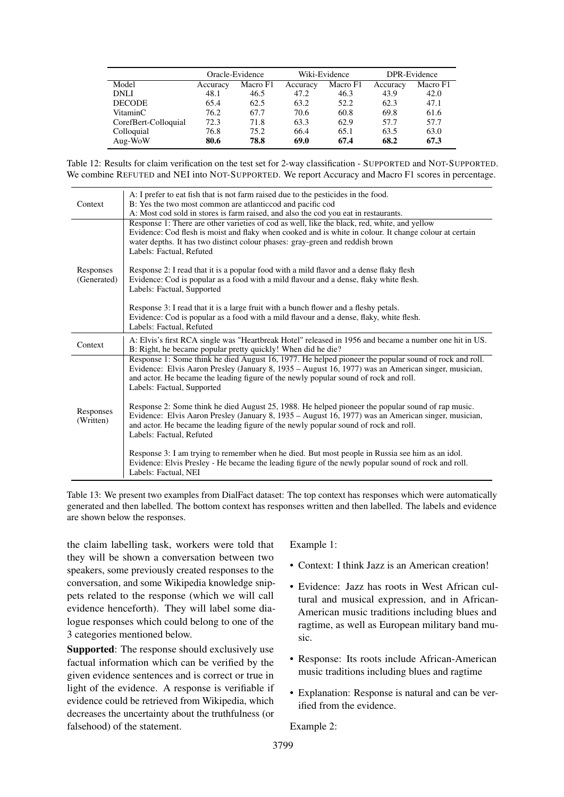<span id="page-14-1"></span>

|                      | Oracle-Evidence |          | Wiki-Evidence |          | DPR-Evidence |          |
|----------------------|-----------------|----------|---------------|----------|--------------|----------|
| Model                | Accuracy        | Macro F1 | Accuracy      | Macro F1 | Accuracy     | Macro F1 |
| <b>DNLI</b>          | 48.1            | 46.5     | 47.2          | 46.3     | 43.9         | 42.0     |
| <b>DECODE</b>        | 65.4            | 62.5     | 63.2          | 52.2     | 62.3         | 47.1     |
| VitaminC             | 76.2            | 67.7     | 70.6          | 60.8     | 69.8         | 61.6     |
| CorefBert-Colloquial | 72.3            | 71.8     | 63.3          | 62.9     | 57.7         | 57.7     |
| Colloquial           | 76.8            | 75.2     | 66.4          | 65.1     | 63.5         | 63.0     |
| Aug-WoW              | 80.6            | 78.8     | 69.0          | 67.4     | 68.2         | 67.3     |

Table 12: Results for claim verification on the test set for 2-way classification - SUPPORTED and NOT-SUPPORTED. We combine REFUTED and NEI into NOT-SUPPORTED. We report Accuracy and Macro F1 scores in percentage.

<span id="page-14-0"></span>

| Context                  | A: I prefer to eat fish that is not farm raised due to the pesticides in the food.<br>B: Yes the two most common are atlanticcod and pacific cod<br>A: Most cod sold in stores is farm raised, and also the cod you eat in restaurants.                                                                                            |
|--------------------------|------------------------------------------------------------------------------------------------------------------------------------------------------------------------------------------------------------------------------------------------------------------------------------------------------------------------------------|
|                          | Response 1: There are other varieties of cod as well, like the black, red, white, and yellow<br>Evidence: Cod flesh is moist and flaky when cooked and is white in colour. It change colour at certain<br>water depths. It has two distinct colour phases: gray-green and reddish brown<br>Labels: Factual, Refuted                |
| Responses<br>(Generated) | Response 2: I read that it is a popular food with a mild flavor and a dense flaky flesh<br>Evidence: Cod is popular as a food with a mild flavour and a dense, flaky white flesh.<br>Labels: Factual, Supported                                                                                                                    |
|                          | Response 3: I read that it is a large fruit with a bunch flower and a fleshy petals.<br>Evidence: Cod is popular as a food with a mild flavour and a dense, flaky, white flesh.<br>Labels: Factual, Refuted                                                                                                                        |
| Context                  | A: Elvis's first RCA single was "Heartbreak Hotel" released in 1956 and became a number one hit in US.<br>B: Right, he became popular pretty quickly! When did he die?                                                                                                                                                             |
|                          | Response 1: Some think he died August 16, 1977. He helped pioneer the popular sound of rock and roll.<br>Evidence: Elvis Aaron Presley (January 8, 1935 – August 16, 1977) was an American singer, musician,<br>and actor. He became the leading figure of the newly popular sound of rock and roll.<br>Labels: Factual, Supported |
| Responses<br>(Written)   | Response 2: Some think he died August 25, 1988. He helped pioneer the popular sound of rap music.<br>Evidence: Elvis Aaron Presley (January 8, 1935 – August 16, 1977) was an American singer, musician,<br>and actor. He became the leading figure of the newly popular sound of rock and roll.<br>Labels: Factual, Refuted       |
|                          | Response 3: I am trying to remember when he died. But most people in Russia see him as an idol.<br>Evidence: Elvis Presley - He became the leading figure of the newly popular sound of rock and roll.<br>Labels: Factual, NEI                                                                                                     |

Table 13: We present two examples from DialFact dataset: The top context has responses which were automatically generated and then labelled. The bottom context has responses written and then labelled. The labels and evidence are shown below the responses.

the claim labelling task, workers were told that they will be shown a conversation between two speakers, some previously created responses to the conversation, and some Wikipedia knowledge snippets related to the response (which we will call evidence henceforth). They will label some dialogue responses which could belong to one of the 3 categories mentioned below.

Supported: The response should exclusively use factual information which can be verified by the given evidence sentences and is correct or true in light of the evidence. A response is verifiable if evidence could be retrieved from Wikipedia, which decreases the uncertainty about the truthfulness (or falsehood) of the statement.

Example 1:

- Context: I think Jazz is an American creation!
- Evidence: Jazz has roots in West African cultural and musical expression, and in African-American music traditions including blues and ragtime, as well as European military band music.
- Response: Its roots include African-American music traditions including blues and ragtime
- Explanation: Response is natural and can be verified from the evidence.

Example 2: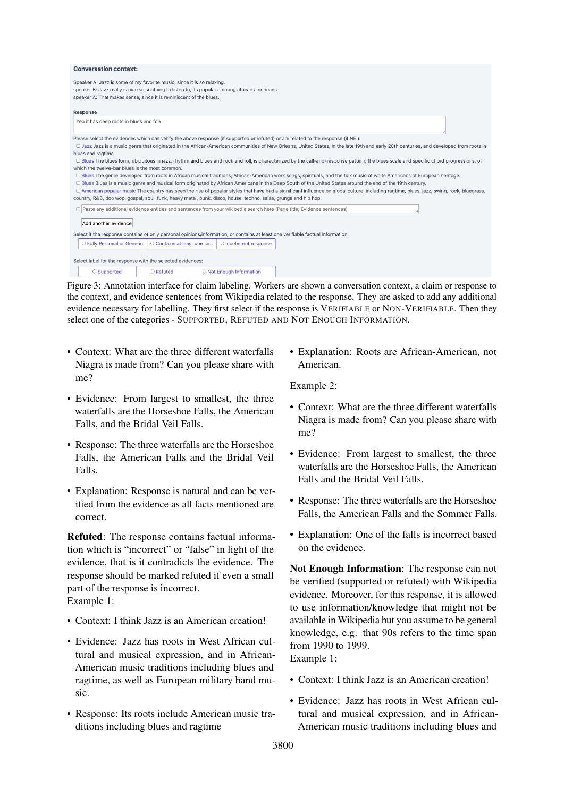<span id="page-15-0"></span>

| <b>Conversation context:</b>                                                                                                                                                                                                                  |  |  |  |  |  |
|-----------------------------------------------------------------------------------------------------------------------------------------------------------------------------------------------------------------------------------------------|--|--|--|--|--|
| Speaker A: Jazz is some of my favorite music, since it is so relaxing.<br>speaker B: Jazz really is nice so soothing to listen to, its popular amoung african americans<br>speaker A: That makes sense, since it is reminiscent of the blues. |  |  |  |  |  |
| Response                                                                                                                                                                                                                                      |  |  |  |  |  |
| Yep it has deep roots in blues and folk                                                                                                                                                                                                       |  |  |  |  |  |
| Please select the evidences which can verify the above response (if supported or refuted) or are related to the response (if NEI):                                                                                                            |  |  |  |  |  |
| □ Jazz Jazz is a music genre that originated in the African-American communities of New Orleans, United States, in the late 19th and early 20th centuries, and developed from roots in                                                        |  |  |  |  |  |
| blues and ragtime.                                                                                                                                                                                                                            |  |  |  |  |  |
| □ Blues The blues form, ubiquitous in jazz, rhythm and blues and rock and roll, is characterized by the call-and-response pattern, the blues scale and specific chord progressions, of<br>which the twelve-bar blues is the most common.      |  |  |  |  |  |
| □ Blues The genre developed from roots in African musical traditions, African-American work songs, spirituals, and the folk music of white Americans of European heritage.                                                                    |  |  |  |  |  |
| □ Blues Blues is a music genre and musical form originated by African Americans in the Deep South of the United States around the end of the 19th century.                                                                                    |  |  |  |  |  |
| □ American popular music The country has seen the rise of popular styles that have had a significant influence on global culture, including ragtime, blues, jazz, swing, rock, bluegrass,                                                     |  |  |  |  |  |
| country, R&B, doo wop, gospel, soul, funk, heavy metal, punk, disco, house, techno, salsa, grunge and hip hop.                                                                                                                                |  |  |  |  |  |
| □ Paste any additional evidence entities and sentences from your wikipedia search here (Page title: Evidence sentences)                                                                                                                       |  |  |  |  |  |
| Add another evidence                                                                                                                                                                                                                          |  |  |  |  |  |
| Select if the response contains of only personal opinions/information, or contains at least one verifiable factual information.                                                                                                               |  |  |  |  |  |
| O Fully Personal or Generic<br>O Contains at least one fact<br>O Incoherent response                                                                                                                                                          |  |  |  |  |  |
| Select label for the response with the selected evidences:                                                                                                                                                                                    |  |  |  |  |  |
| O Not Enough Information<br>○ Supported<br>O Refuted                                                                                                                                                                                          |  |  |  |  |  |

Figure 3: Annotation interface for claim labeling. Workers are shown a conversation context, a claim or response to the context, and evidence sentences from Wikipedia related to the response. They are asked to add any additional evidence necessary for labelling. They first select if the response is VERIFIABLE or NON-VERIFIABLE. Then they select one of the categories - SUPPORTED, REFUTED AND NOT ENOUGH INFORMATION.

- Context: What are the three different waterfalls Niagra is made from? Can you please share with me?
- Evidence: From largest to smallest, the three waterfalls are the Horseshoe Falls, the American Falls, and the Bridal Veil Falls.
- Response: The three waterfalls are the Horseshoe Falls, the American Falls and the Bridal Veil Falls.
- Explanation: Response is natural and can be verified from the evidence as all facts mentioned are correct.

Refuted: The response contains factual information which is "incorrect" or "false" in light of the evidence, that is it contradicts the evidence. The response should be marked refuted if even a small part of the response is incorrect. Example 1:

- Context: I think Jazz is an American creation!
- Evidence: Jazz has roots in West African cultural and musical expression, and in African-American music traditions including blues and ragtime, as well as European military band music.
- Response: Its roots include American music traditions including blues and ragtime

• Explanation: Roots are African-American, not American.

Example 2:

- Context: What are the three different waterfalls Niagra is made from? Can you please share with me?
- Evidence: From largest to smallest, the three waterfalls are the Horseshoe Falls, the American Falls and the Bridal Veil Falls.
- Response: The three waterfalls are the Horseshoe Falls, the American Falls and the Sommer Falls.
- Explanation: One of the falls is incorrect based on the evidence.

Not Enough Information: The response can not be verified (supported or refuted) with Wikipedia evidence. Moreover, for this response, it is allowed to use information/knowledge that might not be available in Wikipedia but you assume to be general knowledge, e.g. that 90s refers to the time span from 1990 to 1999.

Example 1:

- Context: I think Jazz is an American creation!
- Evidence: Jazz has roots in West African cultural and musical expression, and in African-American music traditions including blues and